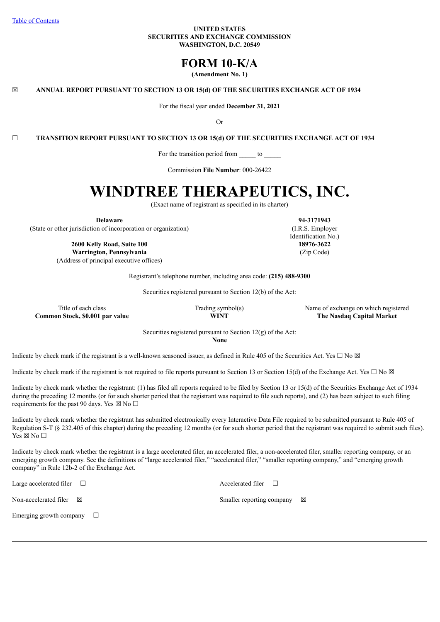#### **UNITED STATES SECURITIES AND EXCHANGE COMMISSION WASHINGTON, D.C. 20549**

## **FORM 10-K/A**

**(Amendment No. 1)**

☒ **ANNUAL REPORT PURSUANT TO SECTION 13 OR 15(d) OF THE SECURITIES EXCHANGE ACT OF 1934**

For the fiscal year ended **December 31, 2021**

Or

☐ **TRANSITION REPORT PURSUANT TO SECTION 13 OR 15(d) OF THE SECURITIES EXCHANGE ACT OF 1934**

For the transition period from **\_\_\_\_\_** to **\_\_\_\_\_**

Commission **File Number**: 000-26422

# **WINDTREE THERAPEUTICS, INC.**

(Exact name of registrant as specified in its charter)

**Delaware**

(State or other jurisdiction of incorporation or organization)

**2600 Kelly Road, Suite 100 Warrington, Pennsylvania** (Address of principal executive offices) **18976-3622** (Zip Code)

Registrant's telephone number, including area code: **(215) 488-9300**

Securities registered pursuant to Section 12(b) of the Act:

**Common Stock, \$0.001 par value WINT The Nasdaq Capital Market**

Trading symbol(s) Name of exchange on which registered Name of exchange on which registered

Securities registered pursuant to Section 12(g) of the Act: **None**

Indicate by check mark if the registrant is a well-known seasoned issuer, as defined in Rule 405 of the Securities Act. Yes  $\Box$  No  $\boxtimes$ 

Indicate by check mark if the registrant is not required to file reports pursuant to Section 13 or Section 15(d) of the Exchange Act. Yes  $\Box$  No  $\boxtimes$ 

Indicate by check mark whether the registrant: (1) has filed all reports required to be filed by Section 13 or 15(d) of the Securities Exchange Act of 1934 during the preceding 12 months (or for such shorter period that the registrant was required to file such reports), and (2) has been subject to such filing requirements for the past 90 days. Yes  $\boxtimes$  No  $\Box$ 

Indicate by check mark whether the registrant has submitted electronically every Interactive Data File required to be submitted pursuant to Rule 405 of Regulation S-T (§ 232.405 of this chapter) during the preceding 12 months (or for such shorter period that the registrant was required to submit such files). Yes  $\boxtimes$  No  $\square$ 

Indicate by check mark whether the registrant is a large accelerated filer, an accelerated filer, a non-accelerated filer, smaller reporting company, or an emerging growth company. See the definitions of "large accelerated filer," "accelerated filer," "smaller reporting company," and "emerging growth company" in Rule 12b-2 of the Exchange Act.

Large accelerated filer ☐ Accelerated filer ☐

Emerging growth company  $\Box$ 

Non-accelerated filer  $\boxtimes$  Smaller reporting company  $\boxtimes$ 

**94-3171943** (I.R.S. Employer Identification No.)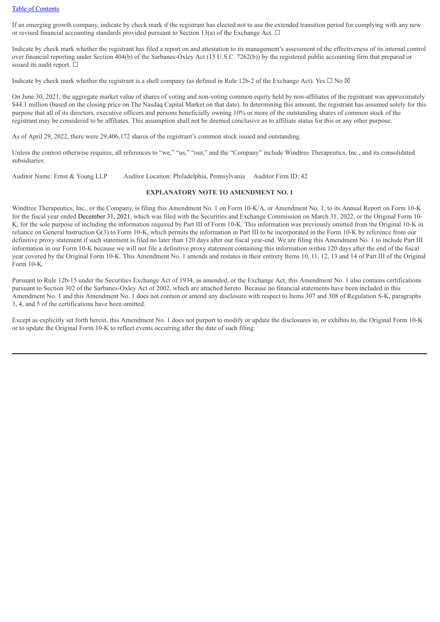If an emerging growth company, indicate by check mark if the registrant has elected not to use the extended transition period for complying with any new or revised financial accounting standards provided pursuant to Section 13(a) of the Exchange Act.  $\Box$ 

Indicate by check mark whether the registrant has filed a report on and attestation to its management's assessment of the effectiveness of its internal control over financial reporting under Section 404(b) of the Sarbanes-Oxley Act (15 U.S.C. 7262(b)) by the registered public accounting firm that prepared or issued its audit report.  $\Box$ 

Indicate by check mark whether the registrant is a shell company (as defined in Rule 12b-2 of the Exchange Act). Yes  $\Box$  No  $\boxtimes$ 

On June 30, 2021, the aggregate market value of shares of voting and non-voting common equity held by non-affiliates of the registrant was approximately \$44.1 million (based on the closing price on The Nasdaq Capital Market on that date). In determining this amount, the registrant has assumed solely for this purpose that all of its directors, executive officers and persons beneficially owning 10% or more of the outstanding shares of common stock of the registrant may be considered to be affiliates. This assumption shall not be deemed conclusive as to affiliate status for this or any other purpose.

As of April 29, 2022, there were 29,406,172 shares of the registrant's common stock issued and outstanding.

Unless the context otherwise requires, all references to "we," "us," "our," and the "Company" include Windtree Therapeutics, Inc., and its consolidated subsidiaries.

Auditor Name: Ernst & Young LLP Auditor Location: Philadelphia, Pennsylvania Auditor Firm ID: 42

#### **EXPLANATORY NOTE TO AMENDMENT NO. 1**

Windtree Therapeutics, Inc., or the Company, is filing this Amendment No. 1 on Form 10-K/A, or Amendment No. 1, to its Annual Report on Form 10-K for the fiscal year ended December 31, 2021, which was filed with the Securities and Exchange Commission on March 31, 2022, or the Original Form 10- K, for the sole purpose of including the information required by Part III of Form 10-K. This information was previously omitted from the Original 10-K in reliance on General Instruction G(3) to Form 10-K, which permits the information in Part III to be incorporated in the Form 10-K by reference from our definitive proxy statement if such statement is filed no later than 120 days after our fiscal year-end. We are filing this Amendment No. 1 to include Part III information in our Form 10-K because we will not file a definitive proxy statement containing this information within 120 days after the end of the fiscal year covered by the Original Form 10-K. This Amendment No. 1 amends and restates in their entirety Items 10, 11, 12, 13 and 14 of Part III of the Original Form  $10-K$ .

Pursuant to Rule 12b-15 under the Securities Exchange Act of 1934, as amended, or the Exchange Act, this Amendment No. 1 also contains certifications pursuant to Section 302 of the Sarbanes-Oxley Act of 2002, which are attached hereto. Because no financial statements have been included in this Amendment No. 1 and this Amendment No. 1 does not contain or amend any disclosure with respect to Items 307 and 308 of Regulation S-K, paragraphs 3, 4, and 5 of the certifications have been omitted.

Except as explicitly set forth herein, this Amendment No. 1 does not purport to modify or update the disclosures in, or exhibits to, the Original Form 10-K or to update the Original Form 10-K to reflect events occurring after the date of such filing.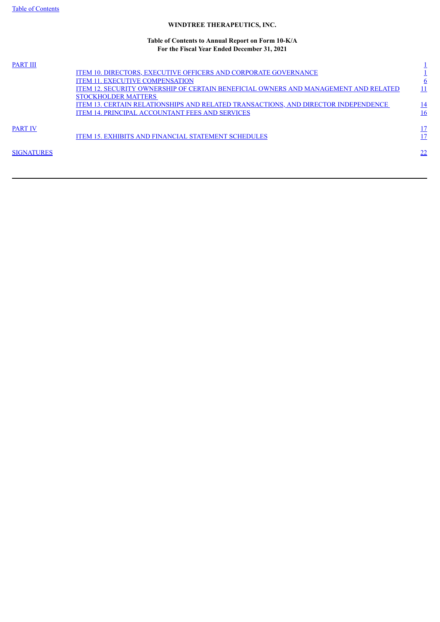## **WINDTREE THERAPEUTICS, INC.**

#### **Table of Contents to Annual Report on Form 10-K/A For the Fiscal Year Ended December 31, 2021**

| <b>PART III</b>   |                                                                                     |           |
|-------------------|-------------------------------------------------------------------------------------|-----------|
|                   | <b>ITEM 10. DIRECTORS, EXECUTIVE OFFICERS AND CORPORATE GOVERNANCE</b>              |           |
|                   | <b>ITEM 11. EXECUTIVE COMPENSATION</b>                                              | <u>6</u>  |
|                   | ITEM 12. SECURITY OWNERSHIP OF CERTAIN BENEFICIAL OWNERS AND MANAGEMENT AND RELATED |           |
|                   | <b>STOCKHOLDER MATTERS</b>                                                          |           |
|                   | ITEM 13. CERTAIN RELATIONSHIPS AND RELATED TRANSACTIONS, AND DIRECTOR INDEPENDENCE  | <u>14</u> |
|                   | <b>ITEM 14. PRINCIPAL ACCOUNTANT FEES AND SERVICES</b>                              | <u>16</u> |
|                   |                                                                                     |           |
| <b>PART IV</b>    |                                                                                     |           |
|                   | <b>ITEM 15. EXHIBITS AND FINANCIAL STATEMENT SCHEDULES</b>                          |           |
|                   |                                                                                     |           |
| <b>SIGNATURES</b> |                                                                                     | 22        |
|                   |                                                                                     |           |
|                   |                                                                                     |           |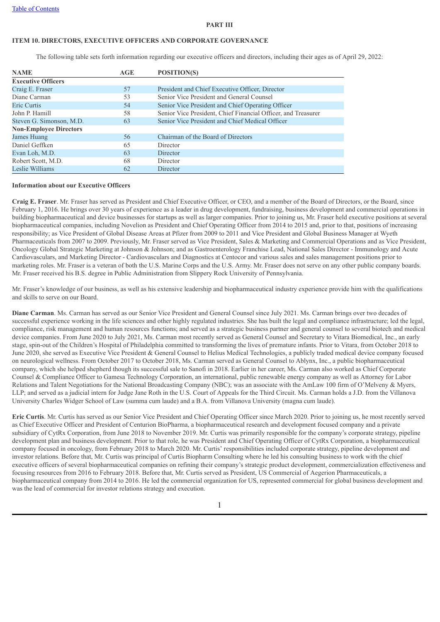#### **PART III**

## **ITEM 10. DIRECTORS, EXECUTIVE OFFICERS AND CORPORATE GOVERNANCE**

The following table sets forth information regarding our executive officers and directors, including their ages as of April 29, 2022:

| <b>NAME</b>                   | AGE | POSITION(S)                                                   |
|-------------------------------|-----|---------------------------------------------------------------|
| <b>Executive Officers</b>     |     |                                                               |
| Craig E. Fraser               | 57  | President and Chief Executive Officer, Director               |
| Diane Carman                  | 53  | Senior Vice President and General Counsel                     |
| Eric Curtis                   | 54  | Senior Vice President and Chief Operating Officer             |
| John P. Hamill                | 58  | Senior Vice President, Chief Financial Officer, and Treasurer |
| Steven G. Simonson, M.D.      | 63  | Senior Vice President and Chief Medical Officer               |
| <b>Non-Employee Directors</b> |     |                                                               |
| James Huang                   | 56  | Chairman of the Board of Directors                            |
| Daniel Geffken                | 65  | Director                                                      |
| Evan Loh, M.D.                | 63  | Director                                                      |
| Robert Scott, M.D.            | 68  | Director                                                      |
| Leslie Williams               | 62  | Director                                                      |

### **Information about our Executive Officers**

**Craig E. Fraser**. Mr. Fraser has served as President and Chief Executive Officer, or CEO, and a member of the Board of Directors, or the Board, since February 1, 2016. He brings over 30 years of experience as a leader in drug development, fundraising, business development and commercial operations in building biopharmaceutical and device businesses for startups as well as larger companies. Prior to joining us, Mr. Fraser held executive positions at several biopharmaceutical companies, including Novelion as President and Chief Operating Officer from 2014 to 2015 and, prior to that, positions of increasing responsibility; as Vice President of Global Disease Areas at Pfizer from 2009 to 2011 and Vice President and Global Business Manager at Wyeth Pharmaceuticals from 2007 to 2009. Previously, Mr. Fraser served as Vice President, Sales & Marketing and Commercial Operations and as Vice President, Oncology Global Strategic Marketing at Johnson & Johnson; and as Gastroenterology Franchise Lead, National Sales Director - Immunology and Acute Cardiovasculars, and Marketing Director - Cardiovasculars and Diagnostics at Centocor and various sales and sales management positions prior to marketing roles. Mr. Fraser is a veteran of both the U.S. Marine Corps and the U.S. Army. Mr. Fraser does not serve on any other public company boards. Mr. Fraser received his B.S. degree in Public Administration from Slippery Rock University of Pennsylvania.

Mr. Fraser's knowledge of our business, as well as his extensive leadership and biopharmaceutical industry experience provide him with the qualifications and skills to serve on our Board.

**Diane Carman**. Ms. Carman has served as our Senior Vice President and General Counsel since July 2021. Ms. Carman brings over two decades of successful experience working in the life sciences and other highly regulated industries. She has built the legal and compliance infrastructure; led the legal, compliance, risk management and human resources functions; and served as a strategic business partner and general counsel to several biotech and medical device companies. From June 2020 to July 2021, Ms. Carman most recently served as General Counsel and Secretary to Vitara Biomedical, Inc., an early stage, spin-out of the Children's Hospital of Philadelphia committed to transforming the lives of premature infants. Prior to Vitara, from October 2018 to June 2020, she served as Executive Vice President & General Counsel to Helius Medical Technologies, a publicly traded medical device company focused on neurological wellness. From October 2017 to October 2018, Ms. Carman served as General Counsel to Ablynx, Inc., a public biopharmaceutical company, which she helped shepherd though its successful sale to Sanofi in 2018. Earlier in her career, Ms. Carman also worked as Chief Corporate Counsel & Compliance Officer to Gamesa Technology Corporation, an international, public renewable energy company as well as Attorney for Labor Relations and Talent Negotiations for the National Broadcasting Company (NBC); was an associate with the AmLaw 100 firm of O'Melveny & Myers, LLP; and served as a judicial intern for Judge Jane Roth in the U.S. Court of Appeals for the Third Circuit. Ms. Carman holds a J.D. from the Villanova University Charles Widger School of Law (summa cum laude) and a B.A. from Villanova University (magna cum laude).

**Eric Curtis**. Mr. Curtis has served as our Senior Vice President and Chief Operating Officer since March 2020. Prior to joining us, he most recently served as Chief Executive Officer and President of Centurion BioPharma, a biopharmaceutical research and development focused company and a private subsidiary of CytRx Corporation, from June 2018 to November 2019. Mr. Curtis was primarily responsible for the company's corporate strategy, pipeline development plan and business development. Prior to that role, he was President and Chief Operating Officer of CytRx Corporation, a biopharmaceutical company focused in oncology, from February 2018 to March 2020. Mr. Curtis' responsibilities included corporate strategy, pipeline development and investor relations. Before that, Mr. Curtis was principal of Curtis Biopharm Consulting where he led his consulting business to work with the chief executive officers of several biopharmaceutical companies on refining their company's strategic product development, commercialization effectiveness and focusing resources from 2016 to February 2018. Before that, Mr. Curtis served as President, US Commercial of Aegerion Pharmaceuticals, a biopharmaceutical company from 2014 to 2016. He led the commercial organization for US, represented commercial for global business development and was the lead of commercial for investor relations strategy and execution.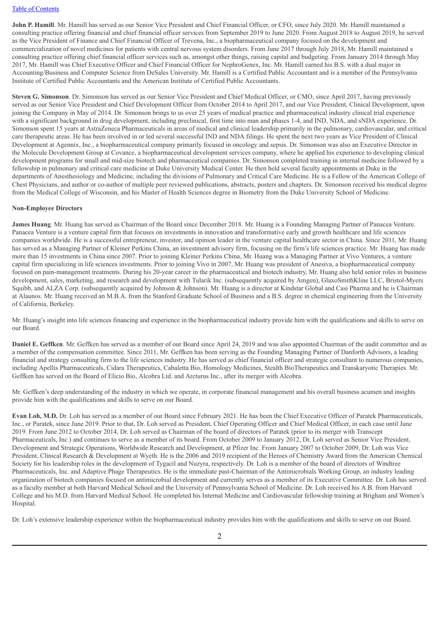**John P. Hamill**. Mr. Hamill has served as our Senior Vice President and Chief Financial Officer, or CFO, since July 2020. Mr. Hamill maintained a consulting practice offering financial and chief financial officer services from September 2019 to June 2020. From August 2018 to August 2019, he served as the Vice President of Finance and Chief Financial Officer of Trevena, Inc., a biopharmaceutical company focused on the development and commercialization of novel medicines for patients with central nervous system disorders. From June 2017 through July 2018, Mr. Hamill maintained a consulting practice offering chief financial officer services such as, amongst other things, raising capital and budgeting. From January 2014 through May 2017, Mr. Hamill was Chief Executive Officer and Chief Financial Officer for NephroGenex, Inc. Mr. Hamill earned his B.S. with a dual major in Accounting/Business and Computer Science from DeSales University. Mr. Hamill is a Certified Public Accountant and is a member of the Pennsylvania Institute of Certified Public Accountants and the American Institute of Certified Public Accountants.

**Steven G. Simonson**. Dr. Simonson has served as our Senior Vice President and Chief Medical Officer, or CMO, since April 2017, having previously served as our Senior Vice President and Chief Development Officer from October 2014 to April 2017, and our Vice President, Clinical Development, upon joining the Company in May of 2014. Dr. Simonson brings to us over 25 years of medical practice and pharmaceutical industry clinical trial experience with a significant background in drug development, including preclinical, first time into man and phases 1-4, and IND, NDA, and sNDA experience. Dr. Simonson spent 15 years at AstraZeneca Pharmaceuticals in areas of medical and clinical leadership primarily in the pulmonary, cardiovascular, and critical care therapeutic areas. He has been involved in or led several successful IND and NDA filings. He spent the next two years as Vice President of Clinical Development at Agennix, Inc., a biopharmaceutical company primarily focused in oncology and sepsis. Dr. Simonson was also an Executive Director in the Molecule Development Group at Covance, a biopharmaceutical development services company, where he applied his experience to developing clinical development programs for small and mid-size biotech and pharmaceutical companies. Dr. Simonson completed training in internal medicine followed by a fellowship in pulmonary and critical care medicine at Duke University Medical Center. He then held several faculty appointments at Duke in the departments of Anesthesiology and Medicine, including the divisions of Pulmonary and Critical Care Medicine. He is a Fellow of the American College of Chest Physicians, and author or co-author of multiple peer reviewed publications, abstracts, posters and chapters. Dr. Simonson received his medical degree from the Medical College of Wisconsin, and his Master of Health Sciences degree in Biometry from the Duke University School of Medicine.

#### **Non-Employee Directors**

**James Huang**. Mr. Huang has served as Chairman of the Board since December 2018. Mr. Huang is a Founding Managing Partner of Panacea Venture. Panacea Venture is a venture capital firm that focuses on investments in innovation and transformative early and growth healthcare and life sciences companies worldwide. He is a successful entrepreneur, investor, and opinion leader in the venture capital healthcare sector in China. Since 2011, Mr. Huang has served as a Managing Partner of Kleiner Perkins China, an investment advisory firm, focusing on the firm's life sciences practice. Mr. Huang has made more than 15 investments in China since 2007. Prior to joining Kleiner Perkins China, Mr. Huang was a Managing Partner at Vivo Ventures, a venture capital firm specializing in life sciences investments. Prior to joining Vivo in 2007, Mr. Huang was president of Anesiva, a biopharmaceutical company focused on pain-management treatments. During his 20-year career in the pharmaceutical and biotech industry, Mr. Huang also held senior roles in business development, sales, marketing, and research and development with Tularik Inc. (subsequently acquired by Amgen), GlaxoSmithKline LLC, Bristol-Myers Squibb, and ALZA Corp. (subsequently acquired by Johnson & Johnson). Mr. Huang is a director at Kindstar Global and Casi Pharma and he is Chairman at Alaunos. Mr. Huang received an M.B.A. from the Stanford Graduate School of Business and a B.S. degree in chemical engineering from the University of California, Berkeley.

Mr. Huang's insight into life sciences financing and experience in the biopharmaceutical industry provide him with the qualifications and skills to serve on our Board.

**Daniel E. Geffken**. Mr. Geffken has served as a member of our Board since April 24, 2019 and was also appointed Chairman of the audit committee and as a member of the compensation committee. Since 2011, Mr. Geffken has been serving as the Founding Managing Partner of Danforth Advisors, a leading financial and strategy consulting firm to the life sciences industry. He has served as chief financial officer and strategic consultant to numerous companies, including Apellis Pharmaceuticals, Cidara Therapeutics, Cabaletta Bio, Homology Medicines, Stealth BioTherapeutics and Transkaryotic Therapies. Mr. Geffken has served on the Board of Elicio Bio, Alcobra Ltd. and Arcturus Inc., after its merger with Alcobra.

Mr. Geffken's deep understanding of the industry in which we operate, in corporate financial management and his overall business acumen and insights provide him with the qualifications and skills to serve on our Board.

**Evan Loh, M.D.** Dr. Loh has served as a member of our Board since February 2021. He has been the Chief Executive Officer of Paratek Pharmaceuticals, Inc., or Paratek, since June 2019. Prior to that, Dr. Loh served as President, Chief Operating Officer and Chief Medical Officer, in each case until June 2019. From June 2012 to October 2014, Dr. Loh served as Chairman of the board of directors of Paratek (prior to its merger with Transcept Pharmaceuticals, Inc.) and continues to serve as a member of its board. From October 2009 to January 2012, Dr. Loh served as Senior Vice President, Development and Strategic Operations, Worldwide Research and Development, at Pfizer Inc. From January 2007 to October 2009, Dr. Loh was Vice President, Clinical Research & Development at Wyeth. He is the 2006 and 2019 recipient of the Heroes of Chemistry Award from the American Chemical Society for his leadership roles in the development of Tygacil and Nuzyra, respectively. Dr. Loh is a member of the board of directors of Windtree Pharmaceuticals, Inc. and Adaptive Phage Therapeutics. He is the immediate past-Chairman of the Antimicrobials Working Group, an industry leading organization of biotech companies focused on antimicrobial development and currently serves as a member of its Executive Committee. Dr. Loh has served as a faculty member at both Harvard Medical School and the University of Pennsylvania School of Medicine. Dr. Loh received his A.B. from Harvard College and his M.D. from Harvard Medical School. He completed his Internal Medicine and Cardiovascular fellowship training at Brigham and Women's Hospital.

Dr. Loh's extensive leadership experience within the biopharmaceutical industry provides him with the qualifications and skills to serve on our Board.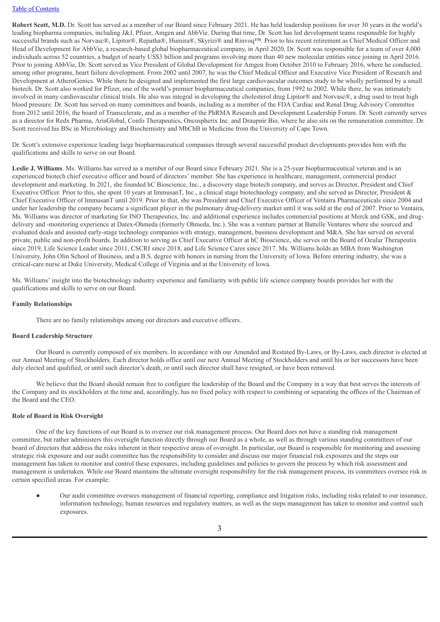**Robert Scott, M.D.** Dr. Scott has served as a member of our Board since February 2021. He has held leadership positions for over 30 years in the world's leading biopharma companies, including J&J, Pfizer, Amgen and AbbVie. During that time, Dr. Scott has led development teams responsible for highly successful brands such as Norvasc®, Lipitor®, Repatha®, Humira®, Skyrizi® and Rinvoq™. Prior to his recent retirement as Chief Medical Officer and Head of Development for AbbVie, a research-based global biopharmaceutical company, in April 2020, Dr. Scott was responsible for a team of over 4,000 individuals across 52 countries, a budget of nearly US\$3 billion and programs involving more than 40 new molecular entities since joining in April 2016. Prior to joining AbbVie, Dr. Scott served as Vice President of Global Development for Amgen from October 2010 to February 2016, where he conducted, among other programs, heart failure development. From 2002 until 2007, he was the Chief Medical Officer and Executive Vice President of Research and Development at AtheroGenics. While there he designed and implemented the first large cardiovascular outcomes study to be wholly performed by a small biotech. Dr. Scott also worked for Pfizer, one of the world's premier biopharmaceutical companies, from 1992 to 2002. While there, he was intimately involved in many cardiovascular clinical trials. He also was integral in developing the cholesterol drug Lipitor® and Norvasc®, a drug used to treat high blood pressure. Dr. Scott has served on many committees and boards, including as a member of the FDA Cardiac and Renal Drug Advisory Committee from 2012 until 2016, the board of Transcelerate, and as a member of the PhRMA Research and Development Leadership Forum. Dr. Scott currently serves as a director for Redx Pharma, ArisGlobal, Confo Therapeutics, Oncospherix Inc. and Draupnir Bio, where he also sits on the remuneration committee. Dr. Scott received his BSc in Microbiology and Biochemistry and MbChB in Medicine from the University of Cape Town.

Dr. Scott's extensive experience leading large biopharmaceutical companies through several successful product developments provides him with the qualifications and skills to serve on our Board.

Leslie **J.** Williams. Ms. Williams has served as a member of our Board since February 2021. She is a 25-year biopharmaceutical veteran and is an experienced biotech chief executive officer and board of directors' member. She has experience in healthcare, management, commercial product development and marketing. In 2021, she founded hC Bioscience, Inc., a discovery stage biotech company, and serves as Director, President and Chief Executive Officer. Prior to this, she spent 10 years at ImmusanT, Inc., a clinical stage biotechnology company, and she served as Director, President & Chief Executive Officer of ImmusanT until 2019. Prior to that, she was President and Chief Executive Officer of Ventaira Pharmaceuticals since 2004 and under her leadership the company became a significant player in the pulmonary drug-delivery market until it was sold at the end of 2007. Prior to Ventaira, Ms. Williams was director of marketing for INO Therapeutics, Inc. and additional experience includes commercial positions at Merck and GSK, and drugdelivery and -monitoring experience at Datex-Ohmeda (formerly Ohmeda, Inc.). She was a venture partner at Battelle Ventures where she sourced and evaluated deals and assisted early-stage technology companies with strategy, management, business development and M&A. She has served on several private, public and non-profit boards. In addition to serving as Chief Executive Officer at hC Bioscience, she serves on the Board of Ocular Therapeutix since 2019, Life Science Leader since 2011, CSCRI since 2018, and Life Science Cares since 2017. Ms. Williams holds an MBA from Washington University, John Olin School of Business, and a B.S. degree with honors in nursing from the University of Iowa. Before entering industry, she was a critical-care nurse at Duke University, Medical College of Virginia and at the University of Iowa.

Ms. Williams' insight into the biotechnology industry experience and familiarity with public life science company boards provides her with the qualifications and skills to serve on our Board.

#### **Family Relationships**

There are no family relationships among our directors and executive officers.

#### **Board Leadership Structure**

Our Board is currently composed of six members. In accordance with our Amended and Restated By-Laws, or By-Laws, each director is elected at our Annual Meeting of Stockholders. Each director holds office until our next Annual Meeting of Stockholders and until his or her successors have been duly elected and qualified, or until such director's death, or until such director shall have resigned, or have been removed.

We believe that the Board should remain free to configure the leadership of the Board and the Company in a way that best serves the interests of the Company and its stockholders at the time and, accordingly, has no fixed policy with respect to combining or separating the offices of the Chairman of the Board and the CEO.

#### **Role of Board in Risk Oversight**

One of the key functions of our Board is to oversee our risk management process. Our Board does not have a standing risk management committee, but rather administers this oversight function directly through our Board as a whole, as well as through various standing committees of our board of directors that address the risks inherent in their respective areas of oversight. In particular, our Board is responsible for monitoring and assessing strategic risk exposure and our audit committee has the responsibility to consider and discuss our major financial risk exposures and the steps our management has taken to monitor and control these exposures, including guidelines and policies to govern the process by which risk assessment and management is undertaken. While our Board maintains the ultimate oversight responsibility for the risk management process, its committees oversee risk in certain specified areas. For example:

● Our audit committee oversees management of financial reporting, compliance and litigation risks, including risks related to our insurance, information technology, human resources and regulatory matters, as well as the steps management has taken to monitor and control such exposures.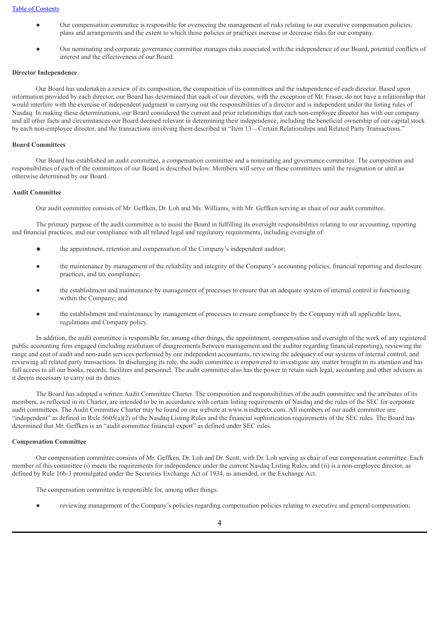- Our compensation committee is responsible for overseeing the management of risks relating to our executive compensation policies, plans and arrangements and the extent to which those policies or practices increase or decrease risks for our company.
- Our nominating and corporate governance committee manages risks associated with the independence of our Board, potential conflicts of interest and the effectiveness of our Board.

#### **Director Independence**

Our Board has undertaken a review of its composition, the composition of its committees and the independence of each director. Based upon information provided by each director, our Board has determined that each of our directors, with the exception of Mr. Fraser, do not have a relationship that would interfere with the exercise of independent judgment in carrying out the responsibilities of a director and is independent under the listing rules of Nasdaq. In making these determinations, our Board considered the current and prior relationships that each non-employee director has with our company and all other facts and circumstances our Board deemed relevant in determining their independence, including the beneficial ownership of our capital stock by each non-employee director, and the transactions involving them described in "Item 13—Certain Relationships and Related Party Transactions."

#### **Board Committees**

Our Board has established an audit committee, a compensation committee and a nominating and governance committee. The composition and responsibilities of each of the committees of our Board is described below. Members will serve on these committees until the resignation or until as otherwise determined by our Board.

#### **Audit Committee**

Our audit committee consists of Mr. Geffken, Dr. Loh and Ms. Williams, with Mr. Geffken serving as chair of our audit committee.

The primary purpose of the audit committee is to assist the Board in fulfilling its oversight responsibilities relating to our accounting, reporting and financial practices, and our compliance with all related legal and regulatory requirements, including oversight of:

- the appointment, retention and compensation of the Company's independent auditor;
- the maintenance by management of the reliability and integrity of the Company's accounting policies, financial reporting and disclosure practices, and tax compliance;
- the establishment and maintenance by management of processes to ensure that an adequate system of internal control is functioning within the Company; and
- the establishment and maintenance by management of processes to ensure compliance by the Company with all applicable laws, regulations and Company policy.

In addition, the audit committee is responsible for, among other things, the appointment, compensation and oversight of the work of any registered public accounting firm engaged (including resolution of disagreements between management and the auditor regarding financial reporting), reviewing the range and cost of audit and non-audit services performed by our independent accountants, reviewing the adequacy of our systems of internal control, and reviewing all related party transactions. In discharging its role, the audit committee is empowered to investigate any matter brought to its attention and has full access to all our books, records, facilities and personnel. The audit committee also has the power to retain such legal, accounting and other advisors as it deems necessary to carry out its duties.

The Board has adopted a written Audit Committee Charter. The composition and responsibilities of the audit committee and the attributes of its members, as reflected in its Charter, are intended to be in accordance with certain listing requirements of Nasdaq and the rules of the SEC for corporate audit committees. The Audit Committee Charter may be found on our website at www.windtreetx.com. All members of our audit committee are "independent" as defined in Rule 5605(a)(2) of the Nasdaq Listing Rules and the financial sophistication requirements of the SEC rules. The Board has determined that Mr. Geffken is an "audit committee financial expert" as defined under SEC rules.

#### **Compensation Committee**

Our compensation committee consists of Mr. Geffken, Dr. Loh and Dr. Scott, with Dr. Loh serving as chair of our compensation committee. Each member of this committee (i) meets the requirements for independence under the current Nasdaq Listing Rules, and (ii) is a non-employee director, as defined by Rule 16b-3 promulgated under the Securities Exchange Act of 1934, as amended, or the Exchange Act.

The compensation committee is responsible for, among other things:

reviewing management of the Company's policies regarding compensation policies relating to executive and general compensation;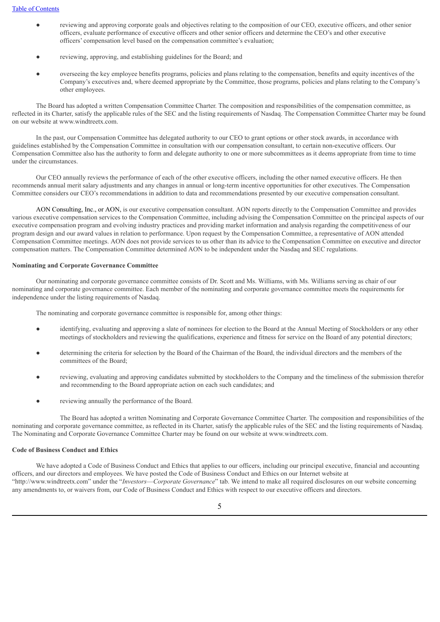- reviewing and approving corporate goals and objectives relating to the composition of our CEO, executive officers, and other senior officers, evaluate performance of executive officers and other senior officers and determine the CEO's and other executive officers' compensation level based on the compensation committee's evaluation;
- reviewing, approving, and establishing guidelines for the Board; and
- overseeing the key employee benefits programs, policies and plans relating to the compensation, benefits and equity incentives of the Company's executives and, where deemed appropriate by the Committee, those programs, policies and plans relating to the Company's other employees.

The Board has adopted a written Compensation Committee Charter. The composition and responsibilities of the compensation committee, as reflected in its Charter, satisfy the applicable rules of the SEC and the listing requirements of Nasdaq. The Compensation Committee Charter may be found on our website at www.windtreetx.com.

In the past, our Compensation Committee has delegated authority to our CEO to grant options or other stock awards, in accordance with guidelines established by the Compensation Committee in consultation with our compensation consultant, to certain non-executive officers. Our Compensation Committee also has the authority to form and delegate authority to one or more subcommittees as it deems appropriate from time to time under the circumstances.

Our CEO annually reviews the performance of each of the other executive officers, including the other named executive officers. He then recommends annual merit salary adjustments and any changes in annual or long-term incentive opportunities for other executives. The Compensation Committee considers our CEO's recommendations in addition to data and recommendations presented by our executive compensation consultant.

AON Consulting, Inc., or AON, is our executive compensation consultant. AON reports directly to the Compensation Committee and provides various executive compensation services to the Compensation Committee, including advising the Compensation Committee on the principal aspects of our executive compensation program and evolving industry practices and providing market information and analysis regarding the competitiveness of our program design and our award values in relation to performance. Upon request by the Compensation Committee, a representative of AON attended Compensation Committee meetings. AON does not provide services to us other than its advice to the Compensation Committee on executive and director compensation matters. The Compensation Committee determined AON to be independent under the Nasdaq and SEC regulations.

#### **Nominating and Corporate Governance Committee**

Our nominating and corporate governance committee consists of Dr. Scott and Ms. Williams, with Ms. Williams serving as chair of our nominating and corporate governance committee. Each member of the nominating and corporate governance committee meets the requirements for independence under the listing requirements of Nasdaq.

The nominating and corporate governance committee is responsible for, among other things:

- identifying, evaluating and approving a slate of nominees for election to the Board at the Annual Meeting of Stockholders or any other meetings of stockholders and reviewing the qualifications, experience and fitness for service on the Board of any potential directors;
- determining the criteria for selection by the Board of the Chairman of the Board, the individual directors and the members of the committees of the Board;
- reviewing, evaluating and approving candidates submitted by stockholders to the Company and the timeliness of the submission therefor and recommending to the Board appropriate action on each such candidates; and
- reviewing annually the performance of the Board.

The Board has adopted a written Nominating and Corporate Governance Committee Charter. The composition and responsibilities of the nominating and corporate governance committee, as reflected in its Charter, satisfy the applicable rules of the SEC and the listing requirements of Nasdaq. The Nominating and Corporate Governance Committee Charter may be found on our website at www.windtreetx.com.

#### **Code of Business Conduct and Ethics**

We have adopted a Code of Business Conduct and Ethics that applies to our officers, including our principal executive, financial and accounting officers, and our directors and employees. We have posted the Code of Business Conduct and Ethics on our Internet website at "http://www.windtreetx.com" under the "*Investors*—*Corporate Governance*" tab. We intend to make all required disclosures on our website concerning any amendments to, or waivers from, our Code of Business Conduct and Ethics with respect to our executive officers and directors.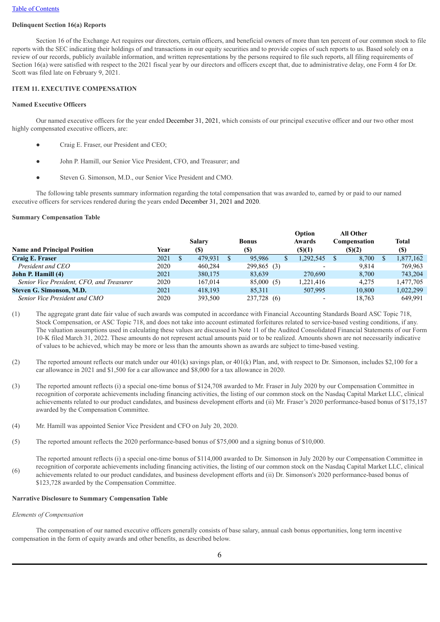## **Delinquent Section 16(a) Reports**

Section 16 of the Exchange Act requires our directors, certain officers, and beneficial owners of more than ten percent of our common stock to file reports with the SEC indicating their holdings of and transactions in our equity securities and to provide copies of such reports to us. Based solely on a review of our records, publicly available information, and written representations by the persons required to file such reports, all filing requirements of Section 16(a) were satisfied with respect to the 2021 fiscal year by our directors and officers except that, due to administrative delay, one Form 4 for Dr. Scott was filed late on February 9, 2021.

#### **ITEM 11. EXECUTIVE COMPENSATION**

#### **Named Executive Officers**

Our named executive officers for the year ended December 31, 2021, which consists of our principal executive officer and our two other most highly compensated executive officers, are:

- Craig E. Fraser, our President and CEO;
- John P. Hamill, our Senior Vice President, CFO, and Treasurer; and
- Steven G. Simonson, M.D., our Senior Vice President and CMO.

The following table presents summary information regarding the total compensation that was awarded to, earned by or paid to our named executive officers for services rendered during the years ended December 31, 2021 and 2020.

#### **Summary Compensation Table**

|                                           |      |         |              | Option                   | <b>All Other</b> |                            |
|-------------------------------------------|------|---------|--------------|--------------------------|------------------|----------------------------|
|                                           |      | Salary  | <b>Bonus</b> | Awards                   | Compensation     | <b>Total</b>               |
| <b>Name and Principal Position</b>        | Year | (S)     | (\$)         | $($ (\$)(1)              | $($ (\$)(2)      | $\left( \mathbb{S}\right)$ |
| Craig E. Fraser                           | 2021 | 479.931 | 95.986       | 1,292,545                | 8,700            | 1,877,162                  |
| President and CEO                         | 2020 | 460.284 | 299,865 (3)  | $\overline{\phantom{0}}$ | 9.814            | 769.963                    |
| John P. Hamill (4)                        | 2021 | 380,175 | 83.639       | 270.690                  | 8.700            | 743.204                    |
| Senior Vice President, CFO, and Treasurer | 2020 | 167.014 | 85,000 (5)   | 1,221,416                | 4.275            | 1,477,705                  |
| Steven G. Simonson, M.D.                  | 2021 | 418.193 | 85.311       | 507.995                  | 10,800           | 1,022,299                  |
| Senior Vice President and CMO             | 2020 | 393.500 | 237,728 (6)  |                          | 18.763           | 649.991                    |

(1) The aggregate grant date fair value of such awards was computed in accordance with Financial Accounting Standards Board ASC Topic 718, Stock Compensation, or ASC Topic 718, and does not take into account estimated forfeitures related to service-based vesting conditions, if any. The valuation assumptions used in calculating these values are discussed in Note 11 of the Audited Consolidated Financial Statements of our Form 10-K filed March 31, 2022. These amounts do not represent actual amounts paid or to be realized. Amounts shown are not necessarily indicative of values to be achieved, which may be more or less than the amounts shown as awards are subject to time-based vesting.

- (2) The reported amount reflects our match under our 401(k) savings plan, or 401(k) Plan, and, with respect to Dr. Simonson, includes \$2,100 for a car allowance in 2021 and \$1,500 for a car allowance and \$8,000 for a tax allowance in 2020.
- (3) The reported amount reflects (i) a special one-time bonus of \$124,708 awarded to Mr. Fraser in July 2020 by our Compensation Committee in recognition of corporate achievements including financing activities, the listing of our common stock on the Nasdaq Capital Market LLC, clinical achievements related to our product candidates, and business development efforts and (ii) Mr. Fraser's 2020 performance-based bonus of \$175,157 awarded by the Compensation Committee.
- (4) Mr. Hamill was appointed Senior Vice President and CFO on July 20, 2020.
- (5) The reported amount reflects the 2020 performance-based bonus of \$75,000 and a signing bonus of \$10,000.

(6) The reported amount reflects (i) a special one-time bonus of \$114,000 awarded to Dr. Simonson in July 2020 by our Compensation Committee in recognition of corporate achievements including financing activities, the listing of our common stock on the Nasdaq Capital Market LLC, clinical achievements related to our product candidates, and business development efforts and (ii) Dr. Simonson's 2020 performance-based bonus of \$123,728 awarded by the Compensation Committee.

#### **Narrative Disclosure to Summary Compensation Table**

#### *Elements of Compensation*

The compensation of our named executive officers generally consists of base salary, annual cash bonus opportunities, long term incentive compensation in the form of equity awards and other benefits, as described below.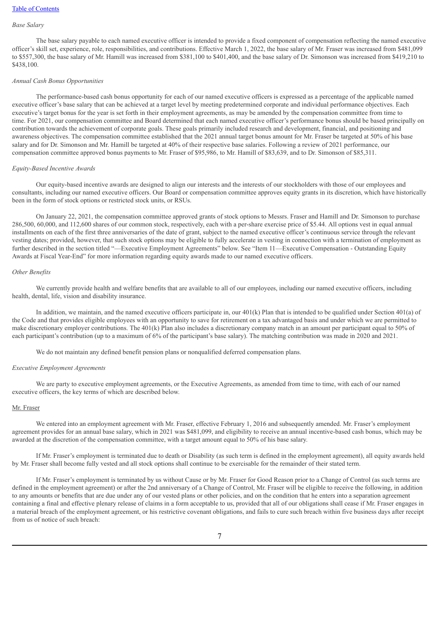#### *Base Salary*

The base salary payable to each named executive officer is intended to provide a fixed component of compensation reflecting the named executive officer's skill set, experience, role, responsibilities, and contributions. Effective March 1, 2022, the base salary of Mr. Fraser was increased from \$481,099 to \$557,300, the base salary of Mr. Hamill was increased from \$381,100 to \$401,400, and the base salary of Dr. Simonson was increased from \$419,210 to \$438,100.

#### *Annual Cash Bonus Opportunities*

The performance-based cash bonus opportunity for each of our named executive officers is expressed as a percentage of the applicable named executive officer's base salary that can be achieved at a target level by meeting predetermined corporate and individual performance objectives. Each executive's target bonus for the year is set forth in their employment agreements, as may be amended by the compensation committee from time to time. For 2021, our compensation committee and Board determined that each named executive officer's performance bonus should be based principally on contribution towards the achievement of corporate goals. These goals primarily included research and development, financial, and positioning and awareness objectives. The compensation committee established that the 2021 annual target bonus amount for Mr. Fraser be targeted at 50% of his base salary and for Dr. Simonson and Mr. Hamill be targeted at 40% of their respective base salaries. Following a review of 2021 performance, our compensation committee approved bonus payments to Mr. Fraser of \$95,986, to Mr. Hamill of \$83,639, and to Dr. Simonson of \$85,311.

#### *Equity-Based Incentive Awards*

Our equity-based incentive awards are designed to align our interests and the interests of our stockholders with those of our employees and consultants, including our named executive officers. Our Board or compensation committee approves equity grants in its discretion, which have historically been in the form of stock options or restricted stock units, or RSUs.

On January 22, 2021, the compensation committee approved grants of stock options to Messrs. Fraser and Hamill and Dr. Simonson to purchase 286,500, 60,000, and 112,600 shares of our common stock, respectively, each with a per-share exercise price of \$5.44. All options vest in equal annual installments on each of the first three anniversaries of the date of grant, subject to the named executive officer's continuous service through the relevant vesting dates; provided, however, that such stock options may be eligible to fully accelerate in vesting in connection with a termination of employment as further described in the section titled "—Executive Employment Agreements" below. See "Item 11—Executive Compensation - Outstanding Equity Awards at Fiscal Year-End" for more information regarding equity awards made to our named executive officers.

#### *Other Benefits*

We currently provide health and welfare benefits that are available to all of our employees, including our named executive officers, including health, dental, life, vision and disability insurance.

In addition, we maintain, and the named executive officers participate in, our 401(k) Plan that is intended to be qualified under Section 401(a) of the Code and that provides eligible employees with an opportunity to save for retirement on a tax advantaged basis and under which we are permitted to make discretionary employer contributions. The 401(k) Plan also includes a discretionary company match in an amount per participant equal to 50% of each participant's contribution (up to a maximum of 6% of the participant's base salary). The matching contribution was made in 2020 and 2021.

We do not maintain any defined benefit pension plans or nonqualified deferred compensation plans.

#### *Executive Employment Agreements*

We are party to executive employment agreements, or the Executive Agreements, as amended from time to time, with each of our named executive officers, the key terms of which are described below.

#### Mr. Fraser

We entered into an employment agreement with Mr. Fraser, effective February 1, 2016 and subsequently amended. Mr. Fraser's employment agreement provides for an annual base salary, which in 2021 was \$481,099, and eligibility to receive an annual incentive-based cash bonus, which may be awarded at the discretion of the compensation committee, with a target amount equal to 50% of his base salary.

If Mr. Fraser's employment is terminated due to death or Disability (as such term is defined in the employment agreement), all equity awards held by Mr. Fraser shall become fully vested and all stock options shall continue to be exercisable for the remainder of their stated term.

If Mr. Fraser's employment is terminated by us without Cause or by Mr. Fraser for Good Reason prior to a Change of Control (as such terms are defined in the employment agreement) or after the 2nd anniversary of a Change of Control, Mr. Fraser will be eligible to receive the following, in addition to any amounts or benefits that are due under any of our vested plans or other policies, and on the condition that he enters into a separation agreement containing a final and effective plenary release of claims in a form acceptable to us, provided that all of our obligations shall cease if Mr. Fraser engages in a material breach of the employment agreement, or his restrictive covenant obligations, and fails to cure such breach within five business days after receipt from us of notice of such breach: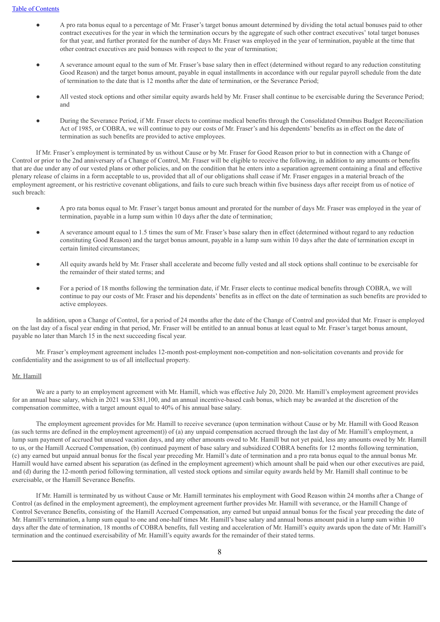- A pro rata bonus equal to a percentage of Mr. Fraser's target bonus amount determined by dividing the total actual bonuses paid to other contract executives for the year in which the termination occurs by the aggregate of such other contract executives' total target bonuses for that year, and further prorated for the number of days Mr. Fraser was employed in the year of termination, payable at the time that other contract executives are paid bonuses with respect to the year of termination;
- A severance amount equal to the sum of Mr. Fraser's base salary then in effect (determined without regard to any reduction constituting Good Reason) and the target bonus amount, payable in equal installments in accordance with our regular payroll schedule from the date of termination to the date that is 12 months after the date of termination, or the Severance Period;
- All vested stock options and other similar equity awards held by Mr. Fraser shall continue to be exercisable during the Severance Period; and
- During the Severance Period, if Mr. Fraser elects to continue medical benefits through the Consolidated Omnibus Budget Reconciliation Act of 1985, or COBRA, we will continue to pay our costs of Mr. Fraser's and his dependents' benefits as in effect on the date of termination as such benefits are provided to active employees.

If Mr. Fraser's employment is terminated by us without Cause or by Mr. Fraser for Good Reason prior to but in connection with a Change of Control or prior to the 2nd anniversary of a Change of Control, Mr. Fraser will be eligible to receive the following, in addition to any amounts or benefits that are due under any of our vested plans or other policies, and on the condition that he enters into a separation agreement containing a final and effective plenary release of claims in a form acceptable to us, provided that all of our obligations shall cease if Mr. Fraser engages in a material breach of the employment agreement, or his restrictive covenant obligations, and fails to cure such breach within five business days after receipt from us of notice of such breach:

- A pro rata bonus equal to Mr. Fraser's target bonus amount and prorated for the number of days Mr. Fraser was employed in the year of termination, payable in a lump sum within 10 days after the date of termination;
- A severance amount equal to 1.5 times the sum of Mr. Fraser's base salary then in effect (determined without regard to any reduction constituting Good Reason) and the target bonus amount, payable in a lump sum within 10 days after the date of termination except in certain limited circumstances;
- All equity awards held by Mr. Fraser shall accelerate and become fully vested and all stock options shall continue to be exercisable for the remainder of their stated terms; and
- For a period of 18 months following the termination date, if Mr. Fraser elects to continue medical benefits through COBRA, we will continue to pay our costs of Mr. Fraser and his dependents' benefits as in effect on the date of termination as such benefits are provided to active employees.

In addition, upon a Change of Control, for a period of 24 months after the date of the Change of Control and provided that Mr. Fraser is employed on the last day of a fiscal year ending in that period, Mr. Fraser will be entitled to an annual bonus at least equal to Mr. Fraser's target bonus amount, payable no later than March 15 in the next succeeding fiscal year.

Mr. Fraser's employment agreement includes 12-month post-employment non-competition and non-solicitation covenants and provide for confidentiality and the assignment to us of all intellectual property.

#### Mr. Hamill

We are a party to an employment agreement with Mr. Hamill, which was effective July 20, 2020. Mr. Hamill's employment agreement provides for an annual base salary, which in 2021 was \$381,100, and an annual incentive-based cash bonus, which may be awarded at the discretion of the compensation committee, with a target amount equal to 40% of his annual base salary.

The employment agreement provides for Mr. Hamill to receive severance (upon termination without Cause or by Mr. Hamill with Good Reason (as such terms are defined in the employment agreement)) of (a) any unpaid compensation accrued through the last day of Mr. Hamill's employment, a lump sum payment of accrued but unused vacation days, and any other amounts owed to Mr. Hamill but not yet paid, less any amounts owed by Mr. Hamill to us, or the Hamill Accrued Compensation, (b) continued payment of base salary and subsidized COBRA benefits for 12 months following termination, (c) any earned but unpaid annual bonus for the fiscal year preceding Mr. Hamill's date of termination and a pro rata bonus equal to the annual bonus Mr. Hamill would have earned absent his separation (as defined in the employment agreement) which amount shall be paid when our other executives are paid, and (d) during the 12-month period following termination, all vested stock options and similar equity awards held by Mr. Hamill shall continue to be exercisable, or the Hamill Severance Benefits.

If Mr. Hamill is terminated by us without Cause or Mr. Hamill terminates his employment with Good Reason within 24 months after a Change of Control (as defined in the employment agreement), the employment agreement further provides Mr. Hamill with severance, or the Hamill Change of Control Severance Benefits, consisting of the Hamill Accrued Compensation, any earned but unpaid annual bonus for the fiscal year preceding the date of Mr. Hamill's termination, a lump sum equal to one and one-half times Mr. Hamill's base salary and annual bonus amount paid in a lump sum within 10 days after the date of termination, 18 months of COBRA benefits, full vesting and acceleration of Mr. Hamill's equity awards upon the date of Mr. Hamill's termination and the continued exercisability of Mr. Hamill's equity awards for the remainder of their stated terms.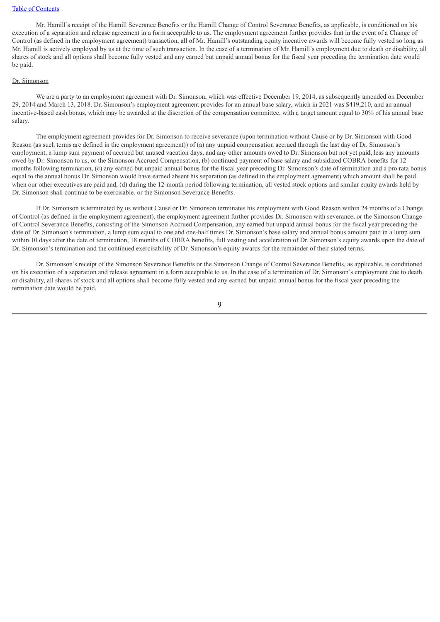Mr. Hamill's receipt of the Hamill Severance Benefits or the Hamill Change of Control Severance Benefits, as applicable, is conditioned on his execution of a separation and release agreement in a form acceptable to us. The employment agreement further provides that in the event of a Change of Control (as defined in the employment agreement) transaction, all of Mr. Hamill's outstanding equity incentive awards will become fully vested so long as Mr. Hamill is actively employed by us at the time of such transaction. In the case of a termination of Mr. Hamill's employment due to death or disability, all shares of stock and all options shall become fully vested and any earned but unpaid annual bonus for the fiscal year preceding the termination date would be paid.

#### Dr. Simonson

We are a party to an employment agreement with Dr. Simonson, which was effective December 19, 2014, as subsequently amended on December 29, 2014 and March 13, 2018. Dr. Simonson's employment agreement provides for an annual base salary, which in 2021 was \$419,210, and an annual incentive-based cash bonus, which may be awarded at the discretion of the compensation committee, with a target amount equal to 30% of his annual base salary.

The employment agreement provides for Dr. Simonson to receive severance (upon termination without Cause or by Dr. Simonson with Good Reason (as such terms are defined in the employment agreement)) of (a) any unpaid compensation accrued through the last day of Dr. Simonson's employment, a lump sum payment of accrued but unused vacation days, and any other amounts owed to Dr. Simonson but not yet paid, less any amounts owed by Dr. Simonson to us, or the Simonson Accrued Compensation, (b) continued payment of base salary and subsidized COBRA benefits for 12 months following termination, (c) any earned but unpaid annual bonus for the fiscal year preceding Dr. Simonson's date of termination and a pro rata bonus equal to the annual bonus Dr. Simonson would have earned absent his separation (as defined in the employment agreement) which amount shall be paid when our other executives are paid and, (d) during the 12-month period following termination, all vested stock options and similar equity awards held by Dr. Simonson shall continue to be exercisable, or the Simonson Severance Benefits.

If Dr. Simonson is terminated by us without Cause or Dr. Simonson terminates his employment with Good Reason within 24 months of a Change of Control (as defined in the employment agreement), the employment agreement further provides Dr. Simonson with severance, or the Simonson Change of Control Severance Benefits, consisting of the Simonson Accrued Compensation, any earned but unpaid annual bonus for the fiscal year preceding the date of Dr. Simonson's termination, a lump sum equal to one and one-half times Dr. Simonson's base salary and annual bonus amount paid in a lump sum within 10 days after the date of termination, 18 months of COBRA benefits, full vesting and acceleration of Dr. Simonson's equity awards upon the date of Dr. Simonson's termination and the continued exercisability of Dr. Simonson's equity awards for the remainder of their stated terms.

Dr. Simonson's receipt of the Simonson Severance Benefits or the Simonson Change of Control Severance Benefits, as applicable, is conditioned on his execution of a separation and release agreement in a form acceptable to us. In the case of a termination of Dr. Simonson's employment due to death or disability, all shares of stock and all options shall become fully vested and any earned but unpaid annual bonus for the fiscal year preceding the termination date would be paid.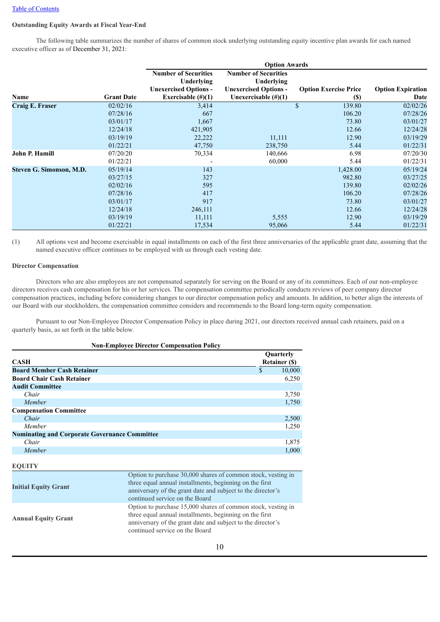#### **Outstanding Equity Awards at Fiscal Year-End**

The following table summarizes the number of shares of common stock underlying outstanding equity incentive plan awards for each named executive officer as of December 31, 2021:

|                          |                   | <b>Option Awards</b>                      |                                           |                              |                          |  |
|--------------------------|-------------------|-------------------------------------------|-------------------------------------------|------------------------------|--------------------------|--|
|                          |                   | <b>Number of Securities</b><br>Underlying | <b>Number of Securities</b><br>Underlying |                              |                          |  |
|                          |                   | <b>Unexercised Options -</b>              | <b>Unexercised Options -</b>              | <b>Option Exercise Price</b> | <b>Option Expiration</b> |  |
| Name                     | <b>Grant Date</b> | Exercisable $(\#)(1)$                     | Unexercisable $(\#)(1)$                   | <b>(\$)</b>                  | Date                     |  |
| <b>Craig E. Fraser</b>   | 02/02/16          | 3,414                                     |                                           | \$<br>139.80                 | 02/02/26                 |  |
|                          | 07/28/16          | 667                                       |                                           | 106.20                       | 07/28/26                 |  |
|                          | 03/01/17          | 1,667                                     |                                           | 73.80                        | 03/01/27                 |  |
|                          | 12/24/18          | 421,905                                   |                                           | 12.66                        | 12/24/28                 |  |
|                          | 03/19/19          | 22,222                                    | 11,111                                    | 12.90                        | 03/19/29                 |  |
|                          | 01/22/21          | 47,750                                    | 238,750                                   | 5.44                         | 01/22/31                 |  |
| <b>John P. Hamill</b>    | 07/20/20          | 70,334                                    | 140,666                                   | 6.98                         | 07/20/30                 |  |
|                          | 01/22/21          |                                           | 60,000                                    | 5.44                         | 01/22/31                 |  |
| Steven G. Simonson, M.D. | 05/19/14          | 143                                       |                                           | 1,428.00                     | 05/19/24                 |  |
|                          | 03/27/15          | 327                                       |                                           | 982.80                       | 03/27/25                 |  |
|                          | 02/02/16          | 595                                       |                                           | 139.80                       | 02/02/26                 |  |
|                          | 07/28/16          | 417                                       |                                           | 106.20                       | 07/28/26                 |  |
|                          | 03/01/17          | 917                                       |                                           | 73.80                        | 03/01/27                 |  |
|                          | 12/24/18          | 246,111                                   |                                           | 12.66                        | 12/24/28                 |  |
|                          | 03/19/19          | 11,111                                    | 5,555                                     | 12.90                        | 03/19/29                 |  |
|                          | 01/22/21          | 17,534                                    | 95,066                                    | 5.44                         | 01/22/31                 |  |

(1) All options vest and become exercisable in equal installments on each of the first three anniversaries of the applicable grant date, assuming that the named executive officer continues to be employed with us through each vesting date.

#### **Director Compensation**

Directors who are also employees are not compensated separately for serving on the Board or any of its committees. Each of our non-employee directors receives cash compensation for his or her services. The compensation committee periodically conducts reviews of peer company director compensation practices, including before considering changes to our director compensation policy and amounts. In addition, to better align the interests of our Board with our stockholders, the compensation committee considers and recommends to the Board long-term equity compensation.

Pursuant to our Non-Employee Director Compensation Policy in place during 2021, our directors received annual cash retainers, paid on a quarterly basis, as set forth in the table below.

|                                                      | <b>Non-Employee Director Compensation Policy</b>             |           |                      |  |
|------------------------------------------------------|--------------------------------------------------------------|-----------|----------------------|--|
|                                                      |                                                              | Quarterly |                      |  |
| <b>CASH</b>                                          |                                                              |           | <b>Retainer (\$)</b> |  |
| <b>Board Member Cash Retainer</b>                    |                                                              | \$        | 10,000               |  |
| <b>Board Chair Cash Retainer</b>                     |                                                              |           | 6,250                |  |
| <b>Audit Committee</b>                               |                                                              |           |                      |  |
| Chair                                                |                                                              |           | 3,750                |  |
| Member                                               |                                                              |           | 1,750                |  |
| <b>Compensation Committee</b>                        |                                                              |           |                      |  |
| Chair                                                |                                                              |           | 2,500                |  |
| Member                                               |                                                              |           | 1,250                |  |
| <b>Nominating and Corporate Governance Committee</b> |                                                              |           |                      |  |
| Chair                                                |                                                              |           | 1,875                |  |
| Member                                               |                                                              |           | 1,000                |  |
|                                                      |                                                              |           |                      |  |
| <b>EQUITY</b>                                        |                                                              |           |                      |  |
|                                                      | Option to purchase 30,000 shares of common stock, vesting in |           |                      |  |
| <b>Initial Equity Grant</b>                          | three equal annual installments, beginning on the first      |           |                      |  |
|                                                      | anniversary of the grant date and subject to the director's  |           |                      |  |
|                                                      | continued service on the Board                               |           |                      |  |
|                                                      | Option to purchase 15,000 shares of common stock, vesting in |           |                      |  |
|                                                      | three equal annual installments, beginning on the first      |           |                      |  |
| <b>Annual Equity Grant</b>                           | anniversary of the grant date and subject to the director's  |           |                      |  |
|                                                      | continued service on the Board                               |           |                      |  |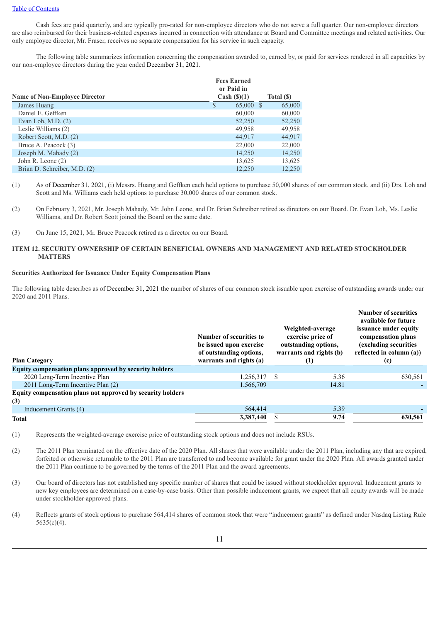Cash fees are paid quarterly, and are typically pro-rated for non-employee directors who do not serve a full quarter. Our non-employee directors are also reimbursed for their business-related expenses incurred in connection with attendance at Board and Committee meetings and related activities. Our only employee director, Mr. Fraser, receives no separate compensation for his service in such capacity.

The following table summarizes information concerning the compensation awarded to, earned by, or paid for services rendered in all capacities by our non-employee directors during the year ended December 31, 2021.

|                                      | <b>Fees Earned</b><br>or Paid in |            |
|--------------------------------------|----------------------------------|------------|
| <b>Name of Non-Employee Director</b> | Cash $(\text{\$})(1)$            | Total (\$) |
| James Huang                          | 65,000 \$<br>S                   | 65,000     |
| Daniel E. Geffken                    | 60,000                           | 60,000     |
| Evan Loh, M.D. $(2)$                 | 52,250                           | 52,250     |
| Leslie Williams (2)                  | 49,958                           | 49,958     |
| Robert Scott, M.D. (2)               | 44,917                           | 44,917     |
| Bruce A. Peacock (3)                 | 22,000                           | 22,000     |
| Joseph M. Mahady (2)                 | 14.250                           | 14,250     |
| John R. Leone $(2)$                  | 13,625                           | 13,625     |
| Brian D. Schreiber, M.D. (2)         | 12,250                           | 12.250     |

<sup>(1)</sup> As of December 31, 2021, (i) Messrs. Huang and Geffken each held options to purchase 50,000 shares of our common stock, and (ii) Drs. Loh and Scott and Ms. Williams each held options to purchase 30,000 shares of our common stock.

(3) On June 15, 2021, Mr. Bruce Peacock retired as a director on our Board.

#### **ITEM 12. SECURITY OWNERSHIP OF CERTAIN BENEFICIAL OWNERS AND MANAGEMENT AND RELATED STOCKHOLDER MATTERS**

#### **Securities Authorized for Issuance Under Equity Compensation Plans**

The following table describes as of December 31, 2021 the number of shares of our common stock issuable upon exercise of outstanding awards under our 2020 and 2011 Plans.

| <b>Plan Category</b>                                              | Number of securities to<br>be issued upon exercise<br>of outstanding options,<br>warrants and rights (a) | Weighted-average<br>exercise price of<br>outstanding options,<br>warrants and rights (b)<br>$\left(1\right)$ | <b>Number of securities</b><br>available for future<br>issuance under equity<br>compensation plans<br>(excluding securities)<br>reflected in column (a))<br>(c) |
|-------------------------------------------------------------------|----------------------------------------------------------------------------------------------------------|--------------------------------------------------------------------------------------------------------------|-----------------------------------------------------------------------------------------------------------------------------------------------------------------|
| Equity compensation plans approved by security holders            |                                                                                                          |                                                                                                              |                                                                                                                                                                 |
| 2020 Long-Term Incentive Plan                                     | 1.256.317                                                                                                | 5.36<br>- \$                                                                                                 | 630,561                                                                                                                                                         |
| 2011 Long-Term Incentive Plan (2)                                 | 1,566,709                                                                                                | 14.81                                                                                                        |                                                                                                                                                                 |
| Equity compensation plans not approved by security holders<br>(3) |                                                                                                          |                                                                                                              |                                                                                                                                                                 |
| Inducement Grants (4)                                             | 564,414                                                                                                  | 5.39                                                                                                         |                                                                                                                                                                 |
| <b>Total</b>                                                      | 3,387,440                                                                                                | 9.74                                                                                                         | 630,561                                                                                                                                                         |

(1) Represents the weighted-average exercise price of outstanding stock options and does not include RSUs.

- (2) The 2011 Plan terminated on the effective date of the 2020 Plan. All shares that were available under the 2011 Plan, including any that are expired, forfeited or otherwise returnable to the 2011 Plan are transferred to and become available for grant under the 2020 Plan. All awards granted under the 2011 Plan continue to be governed by the terms of the 2011 Plan and the award agreements.
- (3) Our board of directors has not established any specific number of shares that could be issued without stockholder approval. Inducement grants to new key employees are determined on a case-by-case basis. Other than possible inducement grants, we expect that all equity awards will be made under stockholder-approved plans.
- (4) Reflects grants of stock options to purchase 564,414 shares of common stock that were "inducement grants" as defined under Nasdaq Listing Rule 5635(c)(4).

<sup>(2)</sup> On February 3, 2021, Mr. Joseph Mahady, Mr. John Leone, and Dr. Brian Schreiber retired as directors on our Board. Dr. Evan Loh, Ms. Leslie Williams, and Dr. Robert Scott joined the Board on the same date.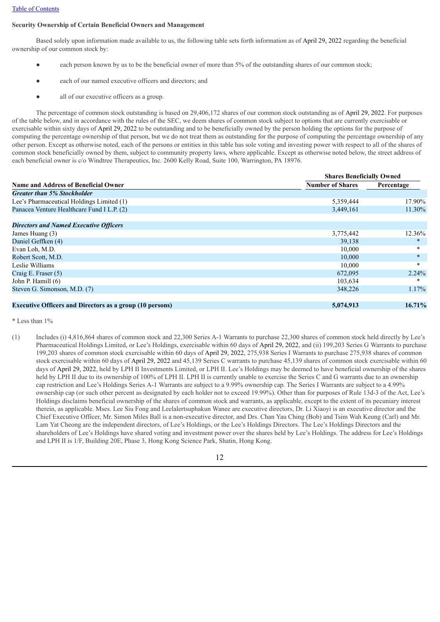#### **Security Ownership of Certain Beneficial Owners and Management**

Based solely upon information made available to us, the following table sets forth information as of April 29, 2022 regarding the beneficial ownership of our common stock by:

- each person known by us to be the beneficial owner of more than 5% of the outstanding shares of our common stock;
- each of our named executive officers and directors; and
- all of our executive officers as a group.

The percentage of common stock outstanding is based on 29,406,172 shares of our common stock outstanding as of April 29, 2022. For purposes of the table below, and in accordance with the rules of the SEC, we deem shares of common stock subject to options that are currently exercisable or exercisable within sixty days of April 29, 2022 to be outstanding and to be beneficially owned by the person holding the options for the purpose of computing the percentage ownership of that person, but we do not treat them as outstanding for the purpose of computing the percentage ownership of any other person. Except as otherwise noted, each of the persons or entities in this table has sole voting and investing power with respect to all of the shares of common stock beneficially owned by them, subject to community property laws, where applicable. Except as otherwise noted below, the street address of each beneficial owner is c/o Windtree Therapeutics, Inc. 2600 Kelly Road, Suite 100, Warrington, PA 18976.

|                                                                 | <b>Shares Beneficially Owned</b> |            |  |  |
|-----------------------------------------------------------------|----------------------------------|------------|--|--|
| <b>Name and Address of Beneficial Owner</b>                     | <b>Number of Shares</b>          | Percentage |  |  |
| <b>Greater than 5% Stockholder</b>                              |                                  |            |  |  |
| Lee's Pharmaceutical Holdings Limited (1)                       | 5,359,444                        | 17.90%     |  |  |
| Panacea Venture Healthcare Fund I L.P. (2)                      | 3,449,161                        | 11.30%     |  |  |
| <b>Directors and Named Executive Officers</b>                   |                                  |            |  |  |
| James Huang (3)                                                 | 3,775,442                        | 12.36%     |  |  |
| Daniel Geffken (4)                                              | 39,138                           | $\ast$     |  |  |
| Evan Loh, M.D.                                                  | 10,000                           | $\ast$     |  |  |
| Robert Scott, M.D.                                              | 10,000                           | $\ast$     |  |  |
| Leslie Williams                                                 | 10,000                           | $\ast$     |  |  |
| Craig E. Fraser $(5)$                                           | 672,095                          | 2.24%      |  |  |
| John P. Hamill (6)                                              | 103,634                          | $\ast$     |  |  |
| Steven G. Simonson, M.D. (7)                                    | 348,226                          | $1.17\%$   |  |  |
| <b>Executive Officers and Directors as a group (10 persons)</b> | 5,074,913                        | 16.71%     |  |  |

\* Less than 1%

(1) Includes (i) 4,816,864 shares of common stock and 22,300 Series A-1 Warrants to purchase 22,300 shares of common stock held directly by Lee's Pharmaceutical Holdings Limited, or Lee's Holdings, exercisable within 60 days of April 29, 2022, and (ii) 199,203 Series G Warrants to purchase 199,203 shares of common stock exercisable within 60 days of April 29, 2022, 275,938 Series I Warrants to purchase 275,938 shares of common stock exercisable within 60 days of April 29, 2022 and 45,139 Series C warrants to purchase 45,139 shares of common stock exercisable within 60 days of April 29, 2022, held by LPH II Investments Limited, or LPH II. Lee's Holdings may be deemed to have beneficial ownership of the shares held by LPH II due to its ownership of 100% of LPH II. LPH II is currently unable to exercise the Series C and G warrants due to an ownership cap restriction and Lee's Holdings Series A-1 Warrants are subject to a 9.99% ownership cap. The Series I Warrants are subject to a 4.99% ownership cap (or such other percent as designated by each holder not to exceed 19.99%). Other than for purposes of Rule 13d-3 of the Act, Lee's Holdings disclaims beneficial ownership of the shares of common stock and warrants, as applicable, except to the extent of its pecuniary interest therein, as applicable. Mses. Lee Siu Fong and Leelalertsuphakun Wanee are executive directors, Dr. Li Xiaoyi is an executive director and the Chief Executive Officer, Mr. Simon Miles Ball is a non-executive director, and Drs. Chan Yau Ching (Bob) and Tsim Wah Keung (Carl) and Mr. Lam Yat Cheong are the independent directors, of Lee's Holdings, or the Lee's Holdings Directors. The Lee's Holdings Directors and the shareholders of Lee's Holdings have shared voting and investment power over the shares held by Lee's Holdings. The address for Lee's Holdings and LPH II is 1/F, Building 20E, Phase 3, Hong Kong Science Park, Shatin, Hong Kong.

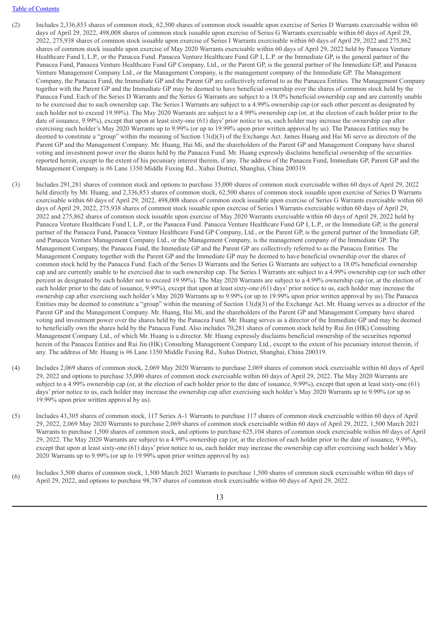- (2) Includes 2,336,853 shares of common stock, 62,500 shares of common stock issuable upon exercise of Series D Warrants exercisable within 60 days of April 29, 2022, 498,008 shares of common stock issuable upon exercise of Series G Warrants exercisable within 60 days of April 29, 2022, 275,938 shares of common stock issuable upon exercise of Series I Warrants exercisable within 60 days of April 29, 2022 and 275,862 shares of common stock issuable upon exercise of May 2020 Warrants exercisable within 60 days of April 29, 2022 held by Panacea Venture Healthcare Fund I, L.P., or the Panacea Fund. Panacea Venture Healthcare Fund GP I, L.P. or the Immediate GP, is the general partner of the Panacea Fund, Panacea Venture Healthcare Fund GP Company, Ltd., or the Parent GP, is the general partner of the Immediate GP, and Panacea Venture Management Company Ltd., or the Management Company, is the management company of the Immediate GP. The Management Company, the Panacea Fund, the Immediate GP and the Parent GP are collectively referred to as the Panacea Entities. The Management Company together with the Parent GP and the Immediate GP may be deemed to have beneficial ownership over the shares of common stock held by the Panacea Fund. Each of the Series D Warrants and the Series G Warrants are subject to a 18.0% beneficial ownership cap and are currently unable to be exercised due to such ownership cap. The Series I Warrants are subject to a 4.99% ownership cap (or such other percent as designated by each holder not to exceed 19.99%). The May 2020 Warrants are subject to a 4.99% ownership cap (or, at the election of each holder prior to the date of issuance, 9.99%), except that upon at least sixty-one (61) days' prior notice to us, each holder may increase the ownership cap after exercising such holder's May 2020 Warrants up to 9.99% (or up to 19.99% upon prior written approval by us). The Panacea Entities may be deemed to constitute a "group" within the meaning of Section 13(d)(3) of the Exchange Act. James Huang and Hai Mi serve as directors of the Parent GP and the Management Company. Mr. Huang, Hai Mi, and the shareholders of the Parent GP and Management Company have shared voting and investment power over the shares held by the Panacea Fund. Mr. Huang expressly disclaims beneficial ownership of the securities reported herein, except to the extent of his pecuniary interest therein, if any. The address of the Panacea Fund, Immediate GP, Parent GP and the Management Company is #6 Lane 1350 Middle Fuxing Rd., Xuhui District, Shanghai, China 200319.
- (3) Includes 291,281 shares of common stock and options to purchase 35,000 shares of common stock exercisable within 60 days of April 29, 2022 held directly by Mr. Huang, and 2,336,853 shares of common stock, 62,500 shares of common stock issuable upon exercise of Series D Warrants exercisable within 60 days of April 29, 2022, 498,008 shares of common stock issuable upon exercise of Series G Warrants exercisable within 60 days of April 29, 2022, 275,938 shares of common stock issuable upon exercise of Series I Warrants exercisable within 60 days of April 29, 2022 and 275,862 shares of common stock issuable upon exercise of May 2020 Warrants exercisable within 60 days of April 29, 2022 held by Panacea Venture Healthcare Fund I, L.P., or the Panacea Fund. Panacea Venture Healthcare Fund GP I, L.P., or the Immediate GP, is the general partner of the Panacea Fund, Panacea Venture Healthcare Fund GP Company, Ltd., or the Parent GP, is the general partner of the Immediate GP, and Panacea Venture Management Company Ltd., or the Management Company, is the management company of the Immediate GP. The Management Company, the Panacea Fund, the Immediate GP and the Parent GP are collectively referred to as the Panacea Entities. The Management Company together with the Parent GP and the Immediate GP may be deemed to have beneficial ownership over the shares of common stock held by the Panacea Fund. Each of the Series D Warrants and the Series G Warrants are subject to a 18.0% beneficial ownership cap and are currently unable to be exercised due to such ownership cap. The Series I Warrants are subject to a 4.99% ownership cap (or such other percent as designated by each holder not to exceed 19.99%). The May 2020 Warrants are subject to a 4.99% ownership cap (or, at the election of each holder prior to the date of issuance, 9.99%), except that upon at least sixty-one (61) days' prior notice to us, each holder may increase the ownership cap after exercising such holder's May 2020 Warrants up to 9.99% (or up to 19.99% upon prior written approval by us).The Panacea Entities may be deemed to constitute a "group" within the meaning of Section 13(d)(3) of the Exchange Act. Mr. Huang serves as a director of the Parent GP and the Management Company. Mr. Huang, Hai Mi, and the shareholders of the Parent GP and Management Company have shared voting and investment power over the shares held by the Panacea Fund. Mr. Huang serves as a director of the Immediate GP and may be deemed to beneficially own the shares held by the Panacea Fund. Also includes 70,281 shares of common stock held by Rui Jin (HK) Consulting Management Company Ltd., of which Mr. Huang is a director. Mr. Huang expressly disclaims beneficial ownership of the securities reported herein of the Panacea Entities and Rui Jin (HK) Consulting Management Company Ltd., except to the extent of his pecuniary interest therein, if any. The address of Mr. Huang is #6 Lane 1350 Middle Fuxing Rd., Xuhui District, Shanghai, China 200319.
- (4) Includes 2,069 shares of common stock, 2,069 May 2020 Warrants to purchase 2,069 shares of common stock exercisable within 60 days of April 29, 2022 and options to purchase 35,000 shares of common stock exercisable within 60 days of April 29, 2022. The May 2020 Warrants are subject to a 4.99% ownership cap (or, at the election of each holder prior to the date of issuance, 9.99%), except that upon at least sixty-one (61) days' prior notice to us, each holder may increase the ownership cap after exercising such holder's May 2020 Warrants up to 9.99% (or up to 19.99% upon prior written approval by us).
- (5) Includes 43,305 shares of common stock, 117 Series A-1 Warrants to purchase 117 shares of common stock exercisable within 60 days of April 29, 2022, 2,069 May 2020 Warrants to purchase 2,069 shares of common stock exercisable within 60 days of April 29, 2022, 1,500 March 2021 Warrants to purchase 1,500 shares of common stock, and options to purchase 625,104 shares of common stock exercisable within 60 days of April 29, 2022. The May 2020 Warrants are subject to a 4.99% ownership cap (or, at the election of each holder prior to the date of issuance, 9.99%), except that upon at least sixty-one (61) days' prior notice to us, each holder may increase the ownership cap after exercising such holder's May 2020 Warrants up to 9.99% (or up to 19.99% upon prior written approval by us).
- (6) Includes 3,500 shares of common stock, 1,500 March 2021 Warrants to purchase 1,500 shares of common stock exercisable within 60 days of April 29, 2022, and options to purchase 98,787 shares of common stock exercisable within 60 days of April 29, 2022.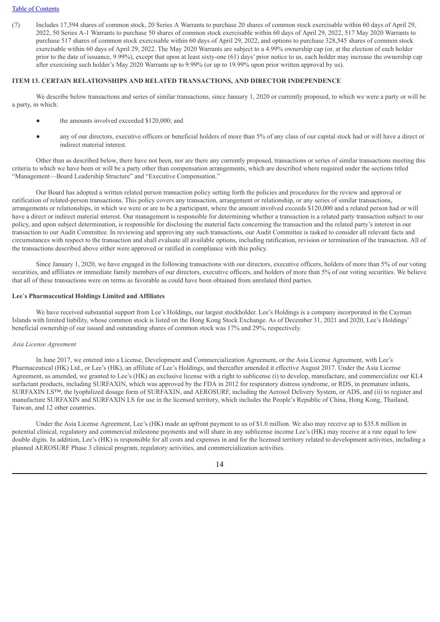(7) Includes 17,594 shares of common stock, 20 Series A Warrants to purchase 20 shares of common stock exercisable within 60 days of April 29, 2022, 50 Series A-1 Warrants to purchase 50 shares of common stock exercisable within 60 days of April 29, 2022, 517 May 2020 Warrants to purchase 517 shares of common stock exercisable within 60 days of April 29, 2022, and options to purchase 328,545 shares of common stock exercisable within 60 days of April 29, 2022. The May 2020 Warrants are subject to a 4.99% ownership cap (or, at the election of each holder prior to the date of issuance, 9.99%), except that upon at least sixty-one (61) days' prior notice to us, each holder may increase the ownership cap after exercising such holder's May 2020 Warrants up to 9.99% (or up to 19.99% upon prior written approval by us).

#### **ITEM 13. CERTAIN RELATIONSHIPS AND RELATED TRANSACTIONS, AND DIRECTOR INDEPENDENCE**

We describe below transactions and series of similar transactions, since January 1, 2020 or currently proposed, to which we were a party or will be a party, in which:

- the amounts involved exceeded \$120,000; and
- any of our directors, executive officers or beneficial holders of more than 5% of any class of our capital stock had or will have a direct or indirect material interest.

Other than as described below, there have not been, nor are there any currently proposed, transactions or series of similar transactions meeting this criteria to which we have been or will be a party other than compensation arrangements, which are described where required under the sections titled "Management—Board Leadership Structure" and "Executive Compensation."

Our Board has adopted a written related person transaction policy setting forth the policies and procedures for the review and approval or ratification of related-person transactions. This policy covers any transaction, arrangement or relationship, or any series of similar transactions, arrangements or relationships, in which we were or are to be a participant, where the amount involved exceeds \$120,000 and a related person had or will have a direct or indirect material interest. Our management is responsible for determining whether a transaction is a related party transaction subject to our policy, and upon subject determination, is responsible for disclosing the material facts concerning the transaction and the related party's interest in our transaction to our Audit Committee. In reviewing and approving any such transactions, our Audit Committee is tasked to consider all relevant facts and circumstances with respect to the transaction and shall evaluate all available options, including ratification, revision or termination of the transaction. All of the transactions described above either were approved or ratified in compliance with this policy.

Since January 1, 2020, we have engaged in the following transactions with our directors, executive officers, holders of more than 5% of our voting securities, and affiliates or immediate family members of our directors, executive officers, and holders of more than 5% of our voting securities. We believe that all of these transactions were on terms as favorable as could have been obtained from unrelated third parties.

#### **Lee**'**s Pharmaceutical Holdings Limited and Affiliates**

We have received substantial support from Lee's Holdings, our largest stockholder. Lee's Holdings is a company incorporated in the Cayman Islands with limited liability, whose common stock is listed on the Hong Kong Stock Exchange. As of December 31, 2021 and 2020, Lee's Holdings' beneficial ownership of our issued and outstanding shares of common stock was 17% and 29%, respectively.

#### *Asia License Agreement*

In June 2017, we entered into a License, Development and Commercialization Agreement, or the Asia License Agreement, with Lee's Pharmaceutical (HK) Ltd., or Lee's (HK), an affiliate of Lee's Holdings, and thereafter amended it effective August 2017. Under the Asia License Agreement, as amended, we granted to Lee's (HK) an exclusive license with a right to sublicense (i) to develop, manufacture, and commercialize our KL4 surfactant products, including SURFAXIN, which was approved by the FDA in 2012 for respiratory distress syndrome, or RDS, in premature infants, SURFAXIN LS™, the lyophilized dosage form of SURFAXIN, and AEROSURF, including the Aerosol Delivery System, or ADS, and (ii) to register and manufacture SURFAXIN and SURFAXIN LS for use in the licensed territory, which includes the People's Republic of China, Hong Kong, Thailand, Taiwan, and 12 other countries.

Under the Asia License Agreement, Lee's (HK) made an upfront payment to us of \$1.0 million. We also may receive up to \$35.8 million in potential clinical, regulatory and commercial milestone payments and will share in any sublicense income Lee's (HK) may receive at a rate equal to low double digits. In addition, Lee's (HK) is responsible for all costs and expenses in and for the licensed territory related to development activities, including a planned AEROSURF Phase 3 clinical program, regulatory activities, and commercialization activities.

14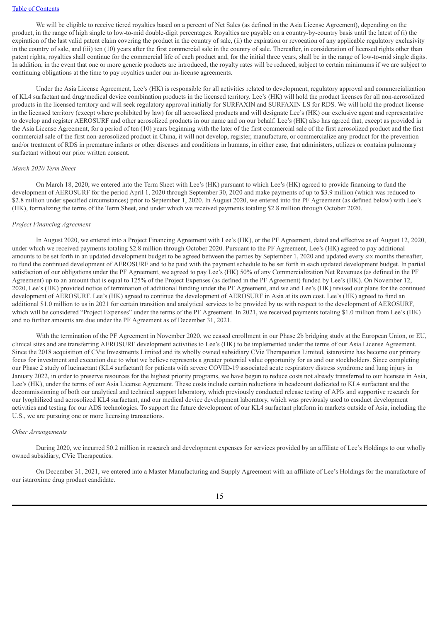We will be eligible to receive tiered royalties based on a percent of Net Sales (as defined in the Asia License Agreement), depending on the product, in the range of high single to low-to-mid double-digit percentages. Royalties are payable on a country-by-country basis until the latest of (i) the expiration of the last valid patent claim covering the product in the country of sale, (ii) the expiration or revocation of any applicable regulatory exclusivity in the country of sale, and (iii) ten (10) years after the first commercial sale in the country of sale. Thereafter, in consideration of licensed rights other than patent rights, royalties shall continue for the commercial life of each product and, for the initial three years, shall be in the range of low-to-mid single digits. In addition, in the event that one or more generic products are introduced, the royalty rates will be reduced, subject to certain minimums if we are subject to continuing obligations at the time to pay royalties under our in-license agreements.

Under the Asia License Agreement, Lee's (HK) is responsible for all activities related to development, regulatory approval and commercialization of KL4 surfactant and drug/medical device combination products in the licensed territory. Lee's (HK) will hold the product licenses for all non-aerosolized products in the licensed territory and will seek regulatory approval initially for SURFAXIN and SURFAXIN LS for RDS. We will hold the product license in the licensed territory (except where prohibited by law) for all aerosolized products and will designate Lee's (HK) our exclusive agent and representative to develop and register AEROSURF and other aerosolized products in our name and on our behalf. Lee's (HK) also has agreed that, except as provided in the Asia License Agreement, for a period of ten (10) years beginning with the later of the first commercial sale of the first aerosolized product and the first commercial sale of the first non-aerosolized product in China, it will not develop, register, manufacture, or commercialize any product for the prevention and/or treatment of RDS in premature infants or other diseases and conditions in humans, in either case, that administers, utilizes or contains pulmonary surfactant without our prior written consent.

#### *March 2020 Term Sheet*

On March 18, 2020, we entered into the Term Sheet with Lee's (HK) pursuant to which Lee's (HK) agreed to provide financing to fund the development of AEROSURF for the period April 1, 2020 through September 30, 2020 and make payments of up to \$3.9 million (which was reduced to \$2.8 million under specified circumstances) prior to September 1, 2020. In August 2020, we entered into the PF Agreement (as defined below) with Lee's (HK), formalizing the terms of the Term Sheet, and under which we received payments totaling \$2.8 million through October 2020.

#### *Project Financing Agreement*

In August 2020, we entered into a Project Financing Agreement with Lee's (HK), or the PF Agreement, dated and effective as of August 12, 2020, under which we received payments totaling \$2.8 million through October 2020. Pursuant to the PF Agreement, Lee's (HK) agreed to pay additional amounts to be set forth in an updated development budget to be agreed between the parties by September 1, 2020 and updated every six months thereafter, to fund the continued development of AEROSURF and to be paid with the payment schedule to be set forth in each updated development budget. In partial satisfaction of our obligations under the PF Agreement, we agreed to pay Lee's (HK) 50% of any Commercialization Net Revenues (as defined in the PF Agreement) up to an amount that is equal to 125% of the Project Expenses (as defined in the PF Agreement) funded by Lee's (HK). On November 12, 2020, Lee's (HK) provided notice of termination of additional funding under the PF Agreement, and we and Lee's (HK) revised our plans for the continued development of AEROSURF. Lee's (HK) agreed to continue the development of AEROSURF in Asia at its own cost. Lee's (HK) agreed to fund an additional \$1.0 million to us in 2021 for certain transition and analytical services to be provided by us with respect to the development of AEROSURF, which will be considered "Project Expenses" under the terms of the PF Agreement. In 2021, we received payments totaling \$1.0 million from Lee's (HK) and no further amounts are due under the PF Agreement as of December 31, 2021.

With the termination of the PF Agreement in November 2020, we ceased enrollment in our Phase 2b bridging study at the European Union, or EU, clinical sites and are transferring AEROSURF development activities to Lee's (HK) to be implemented under the terms of our Asia License Agreement. Since the 2018 acquisition of CVie Investments Limited and its wholly owned subsidiary CVie Therapeutics Limited, istaroxime has become our primary focus for investment and execution due to what we believe represents a greater potential value opportunity for us and our stockholders. Since completing our Phase 2 study of lucinactant (KL4 surfactant) for patients with severe COVID-19 associated acute respiratory distress syndrome and lung injury in January 2022, in order to preserve resources for the highest priority programs, we have begun to reduce costs not already transferred to our licensee in Asia, Lee's (HK), under the terms of our Asia License Agreement. These costs include certain reductions in headcount dedicated to KL4 surfactant and the decommissioning of both our analytical and technical support laboratory, which previously conducted release testing of APIs and supportive research for our lyophilized and aerosolized KL4 surfactant, and our medical device development laboratory, which was previously used to conduct development activities and testing for our ADS technologies. To support the future development of our KL4 surfactant platform in markets outside of Asia, including the U.S., we are pursuing one or more licensing transactions.

#### *Other Arrangements*

During 2020, we incurred \$0.2 million in research and development expenses for services provided by an affiliate of Lee's Holdings to our wholly owned subsidiary, CVie Therapeutics.

On December 31, 2021, we entered into a Master Manufacturing and Supply Agreement with an affiliate of Lee's Holdings for the manufacture of our istaroxime drug product candidate.

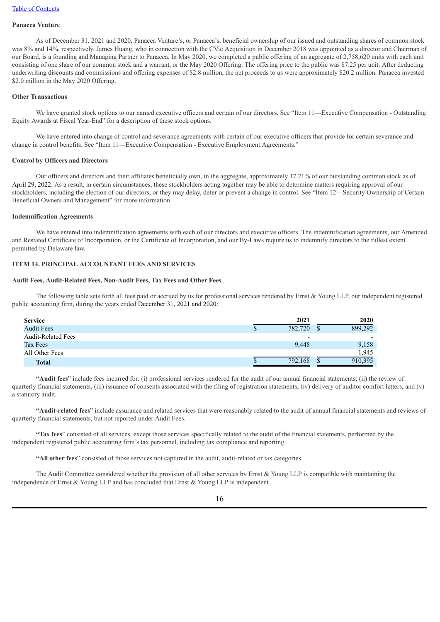## **Panacea Venture**

As of December 31, 2021 and 2020, Panacea Venture's, or Panacea's, beneficial ownership of our issued and outstanding shares of common stock was 8% and 14%, respectively. James Huang, who in connection with the CVie Acquisition in December 2018 was appointed as a director and Chairman of our Board, is a founding and Managing Partner to Panacea. In May 2020, we completed a public offering of an aggregate of 2,758,620 units with each unit consisting of one share of our common stock and a warrant, or the May 2020 Offering. The offering price to the public was \$7.25 per unit. After deducting underwriting discounts and commissions and offering expenses of \$2.8 million, the net proceeds to us were approximately \$20.2 million. Panacea invested \$2.0 million in the May 2020 Offering.

#### **Other Transactions**

We have granted stock options to our named executive officers and certain of our directors. See "Item 11—Executive Compensation - Outstanding Equity Awards at Fiscal Year-End" for a description of these stock options.

We have entered into change of control and severance agreements with certain of our executive officers that provide for certain severance and change in control benefits. See "Item 11—Executive Compensation - Executive Employment Agreements."

#### **Control by Officers and Directors**

Our officers and directors and their affiliates beneficially own, in the aggregate, approximately 17.21% of our outstanding common stock as of April 29, 2022. As a result, in certain circumstances, these stockholders acting together may be able to determine matters requiring approval of our stockholders, including the election of our directors, or they may delay, defer or prevent a change in control. See "Item 12—Security Ownership of Certain Beneficial Owners and Management" for more information.

#### **Indemnification Agreements**

We have entered into indemnification agreements with each of our directors and executive officers. The indemnification agreements, our Amended and Restated Certificate of Incorporation, or the Certificate of Incorporation, and our By-Laws require us to indemnify directors to the fullest extent permitted by Delaware law.

#### **ITEM 14. PRINCIPAL ACCOUNTANT FEES AND SERVICES**

#### **Audit Fees, Audit-Related Fees, Non-Audit Fees, Tax Fees and Other Fees**

The following table sets forth all fees paid or accrued by us for professional services rendered by Ernst  $\&$  Young LLP, our independent registered public accounting firm, during the years ended December 31, 2021 and 2020:

| <b>Service</b>            | 2021                     | 2020                     |
|---------------------------|--------------------------|--------------------------|
| <b>Audit Fees</b>         | 782,720                  | 899,292                  |
| <b>Audit-Related Fees</b> | $\overline{\phantom{0}}$ | $\overline{\phantom{0}}$ |
| Tax Fees                  | 9,448                    | 9,158                    |
| All Other Fees            | $\overline{\phantom{0}}$ | 1.945                    |
| <b>Total</b>              | 792,168                  | 910,395                  |

**"Audit fees**" include fees incurred for: (i) professional services rendered for the audit of our annual financial statements; (ii) the review of quarterly financial statements, (iii) issuance of consents associated with the filing of registration statements; (iv) delivery of auditor comfort letters, and (v) a statutory audit.

**"Audit-related fees**" include assurance and related services that were reasonably related to the audit of annual financial statements and reviews of quarterly financial statements, but not reported under Audit Fees.

**"Tax fees**" consisted of all services, except those services specifically related to the audit of the financial statements, performed by the independent registered public accounting firm's tax personnel, including tax compliance and reporting.

**"All other fees**" consisted of those services not captured in the audit, audit-related or tax categories.

The Audit Committee considered whether the provision of all other services by Ernst & Young LLP is compatible with maintaining the independence of Ernst & Young LLP and has concluded that Ernst & Young LLP is independent.

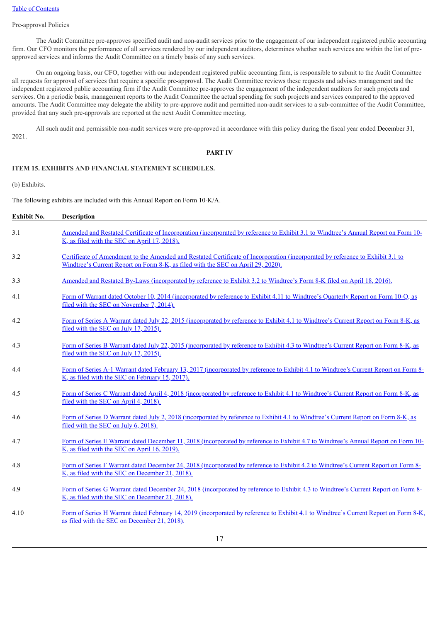#### Pre-approval Policies

The Audit Committee pre-approves specified audit and non-audit services prior to the engagement of our independent registered public accounting firm. Our CFO monitors the performance of all services rendered by our independent auditors, determines whether such services are within the list of preapproved services and informs the Audit Committee on a timely basis of any such services.

On an ongoing basis, our CFO, together with our independent registered public accounting firm, is responsible to submit to the Audit Committee all requests for approval of services that require a specific pre-approval. The Audit Committee reviews these requests and advises management and the independent registered public accounting firm if the Audit Committee pre-approves the engagement of the independent auditors for such projects and services. On a periodic basis, management reports to the Audit Committee the actual spending for such projects and services compared to the approved amounts. The Audit Committee may delegate the ability to pre-approve audit and permitted non-audit services to a sub-committee of the Audit Committee, provided that any such pre-approvals are reported at the next Audit Committee meeting.

All such audit and permissible non-audit services were pre-approved in accordance with this policy during the fiscal year ended December 31, 2021.

#### **PART IV**

#### **ITEM 15. EXHIBITS AND FINANCIAL STATEMENT SCHEDULES.**

(b) Exhibits.

The following exhibits are included with this Annual Report on Form 10-K/A.

| Exhibit No. | <b>Description</b>                                                                                                                                                                                                 |
|-------------|--------------------------------------------------------------------------------------------------------------------------------------------------------------------------------------------------------------------|
| 3.1         | Amended and Restated Certificate of Incorporation (incorporated by reference to Exhibit 3.1 to Windtree's Annual Report on Form 10-<br>K, as filed with the SEC on April 17, 2018).                                |
| 3.2         | Certificate of Amendment to the Amended and Restated Certificate of Incorporation (incorporated by reference to Exhibit 3.1 to<br>Windtree's Current Report on Form 8-K, as filed with the SEC on April 29, 2020). |
| 3.3         | Amended and Restated By-Laws (incorporated by reference to Exhibit 3.2 to Windtree's Form 8-K filed on April 18, 2016).                                                                                            |
| 4.1         | Form of Warrant dated October 10, 2014 (incorporated by reference to Exhibit 4.11 to Windtree's Quarterly Report on Form 10-Q, as<br>filed with the SEC on November 7, 2014).                                      |
| 4.2         | Form of Series A Warrant dated July 22, 2015 (incorporated by reference to Exhibit 4.1 to Windtree's Current Report on Form 8-K, as<br>filed with the SEC on July 17, 2015).                                       |
| 4.3         | Form of Series B Warrant dated July 22, 2015 (incorporated by reference to Exhibit 4.3 to Windtree's Current Report on Form 8-K, as<br>filed with the SEC on July 17, 2015).                                       |
| 4.4         | Form of Series A-1 Warrant dated February 13, 2017 (incorporated by reference to Exhibit 4.1 to Windtree's Current Report on Form 8-<br>K, as filed with the SEC on February 15, 2017).                            |
| 4.5         | Form of Series C Warrant dated April 4, 2018 (incorporated by reference to Exhibit 4.1 to Windtree's Current Report on Form 8-K, as<br>filed with the SEC on April 4, 2018).                                       |
| 4.6         | Form of Series D Warrant dated July 2, 2018 (incorporated by reference to Exhibit 4.1 to Windtree's Current Report on Form 8-K, as<br>filed with the SEC on July 6, 2018).                                         |
| 4.7         | Form of Series E Warrant dated December 11, 2018 (incorporated by reference to Exhibit 4.7 to Windtree's Annual Report on Form 10-<br>K, as filed with the SEC on April 16, 2019).                                 |
| 4.8         | Form of Series F Warrant dated December 24, 2018 (incorporated by reference to Exhibit 4.2 to Windtree's Current Report on Form 8-<br>K, as filed with the SEC on December 21, 2018).                              |
| 4.9         | Form of Series G Warrant dated December 24, 2018 (incorporated by reference to Exhibit 4.3 to Windtree's Current Report on Form 8-<br>K, as filed with the SEC on December 21, 2018).                              |
| 4.10        | Form of Series H Warrant dated February 14, 2019 (incorporated by reference to Exhibit 4.1 to Windtree's Current Report on Form 8-K,<br>as filed with the SEC on December 21, 2018).                               |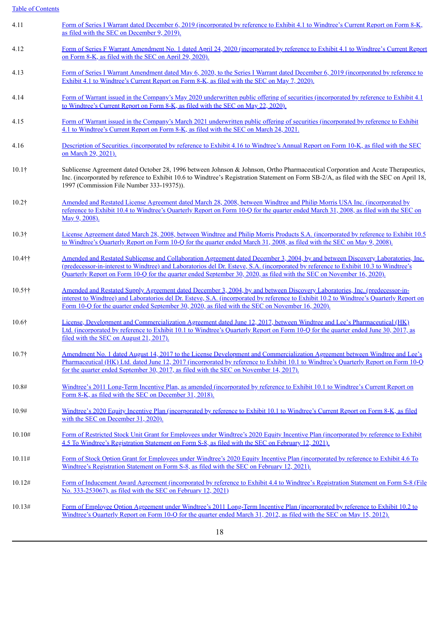| 4.11          | Form of Series I Warrant dated December 6, 2019 (incorporated by reference to Exhibit 4.1 to Windtree's Current Report on Form 8-K,<br>as filed with the SEC on December 9, 2019).                                                                                                                                                                                                              |
|---------------|-------------------------------------------------------------------------------------------------------------------------------------------------------------------------------------------------------------------------------------------------------------------------------------------------------------------------------------------------------------------------------------------------|
| 4.12          | Form of Series F Warrant Amendment No. 1 dated April 24, 2020 (incorporated by reference to Exhibit 4.1 to Windtree's Current Report<br>on Form 8-K, as filed with the SEC on April 29, 2020).                                                                                                                                                                                                  |
| 4.13          | Form of Series I Warrant Amendment dated May 6, 2020, to the Series I Warrant dated December 6, 2019 (incorporated by reference to<br>Exhibit 4.1 to Windtree's Current Report on Form 8-K, as filed with the SEC on May 7, 2020).                                                                                                                                                              |
| 4.14          | Form of Warrant issued in the Company's May 2020 underwritten public offering of securities (incorporated by reference to Exhibit 4.1)<br>to Windtree's Current Report on Form 8-K, as filed with the SEC on May 22, 2020).                                                                                                                                                                     |
| 4.15          | Form of Warrant issued in the Company's March 2021 underwritten public offering of securities (incorporated by reference to Exhibit<br>4.1 to Windtree's Current Report on Form 8-K, as filed with the SEC on March 24, 2021.                                                                                                                                                                   |
| 4.16          | Description of Securities. (incorporated by reference to Exhibit 4.16 to Windtree's Annual Report on Form 10-K, as filed with the SEC<br>on March 29, 2021).                                                                                                                                                                                                                                    |
| $10.1\dagger$ | Sublicense Agreement dated October 28, 1996 between Johnson & Johnson, Ortho Pharmaceutical Corporation and Acute Therapeutics,<br>Inc. (incorporated by reference to Exhibit 10.6 to Windtree's Registration Statement on Form SB-2/A, as filed with the SEC on April 18,<br>1997 (Commission File Number 333-19375)).                                                                         |
| $10.2\dagger$ | Amended and Restated License Agreement dated March 28, 2008, between Windtree and Philip Morris USA Inc. (incorporated by<br>reference to Exhibit 10.4 to Windtree's Quarterly Report on Form 10-Q for the quarter ended March 31, 2008, as filed with the SEC on<br>May 9, 2008).                                                                                                              |
| $10.3\dagger$ | License Agreement dated March 28, 2008, between Windtree and Philip Morris Products S.A. (incorporated by reference to Exhibit 10.5)<br>to Windtree's Quarterly Report on Form 10-Q for the quarter ended March 31, 2008, as filed with the SEC on May 9, 2008).                                                                                                                                |
| $10.4$ ††     | Amended and Restated Sublicense and Collaboration Agreement dated December 3, 2004, by and between Discovery Laboratories, Inc.<br>(predecessor-in-interest to Windtree) and Laboratorios del Dr. Esteve, S.A. (incorporated by reference to Exhibit 10.3 to Windtree's<br>Quarterly Report on Form 10-Q for the quarter ended September 30, 2020, as filed with the SEC on November 16, 2020). |
| 10.5††        | Amended and Restated Supply Agreement dated December 3, 2004, by and between Discovery Laboratories, Inc. (predecessor-in-<br>interest to Windtree) and Laboratorios del Dr. Esteve, S.A. (incorporated by reference to Exhibit 10.2 to Windtree's Quarterly Report on<br>Form 10-Q for the quarter ended September 30, 2020, as filed with the SEC on November 16, 2020).                      |
| $10.6\dagger$ | License, Development and Commercialization Agreement dated June 12, 2017, between Windtree and Lee's Pharmaceutical (HK)<br>Ltd. (incorporated by reference to Exhibit 10.1 to Windtree's Quarterly Report on Form 10-Q for the quarter ended June 30, 2017, as<br>filed with the SEC on August 21, 2017).                                                                                      |
| $10.7\dagger$ | Amendment No. 1 dated August 14, 2017 to the License Development and Commercialization Agreement between Windtree and Lee's<br>Pharmaceutical (HK) Ltd. dated June 12, 2017 (incorporated by reference to Exhibit 10.1 to Windtree's Quarterly Report on Form 10-Q<br>for the quarter ended September 30, 2017, as filed with the SEC on November 14, 2017).                                    |
| 10.8#         | Windtree's 2011 Long-Term Incentive Plan, as amended (incorporated by reference to Exhibit 10.1 to Windtree's Current Report on<br>Form 8-K, as filed with the SEC on December 31, 2018).                                                                                                                                                                                                       |
| 10.9#         | Windtree's 2020 Equity Incentive Plan (incorporated by reference to Exhibit 10.1 to Windtree's Current Report on Form 8-K, as filed<br>with the SEC on December 31, 2020).                                                                                                                                                                                                                      |
| 10.10#        | Form of Restricted Stock Unit Grant for Employees under Windtree's 2020 Equity Incentive Plan (incorporated by reference to Exhibit<br>4.5 To Windtree's Registration Statement on Form S-8, as filed with the SEC on February 12, 2021).                                                                                                                                                       |
| 10.11#        | Form of Stock Option Grant for Employees under Windtree's 2020 Equity Incentive Plan (incorporated by reference to Exhibit 4.6 To<br>Windtree's Registration Statement on Form S-8, as filed with the SEC on February 12, 2021).                                                                                                                                                                |
| 10.12#        | Form of Inducement Award Agreement (incorporated by reference to Exhibit 4.4 to Windtree's Registration Statement on Form S-8 (File<br>No. 333-253067), as filed with the SEC on February 12, 2021)                                                                                                                                                                                             |
| 10.13#        | Form of Employee Option Agreement under Windtree's 2011 Long-Term Incentive Plan (incorporated by reference to Exhibit 10.2 to<br>Windtree's Quarterly Report on Form 10-Q for the quarter ended March 31, 2012, as filed with the SEC on May 15, 2012).                                                                                                                                        |
|               | 18                                                                                                                                                                                                                                                                                                                                                                                              |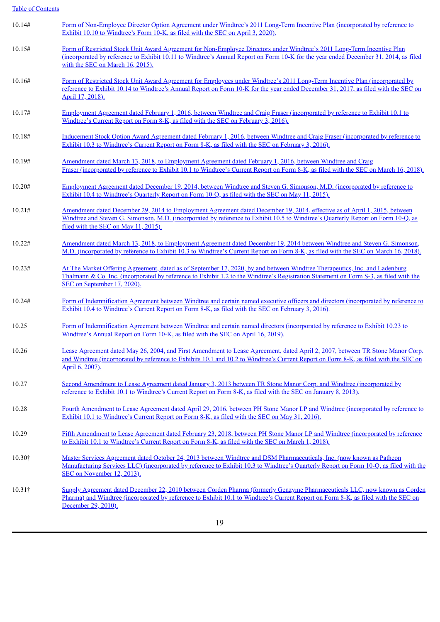| 10.14#         | Form of Non-Employee Director Option Agreement under Windtree's 2011 Long-Term Incentive Plan (incorporated by reference to<br>Exhibit 10.10 to Windtree's Form 10-K, as filed with the SEC on April 3, 2020).                                                                                        |
|----------------|-------------------------------------------------------------------------------------------------------------------------------------------------------------------------------------------------------------------------------------------------------------------------------------------------------|
| 10.15#         | Form of Restricted Stock Unit Award Agreement for Non-Employee Directors under Windtree's 2011 Long-Term Incentive Plan<br>(incorporated by reference to Exhibit 10.11 to Windtree's Annual Report on Form 10-K for the year ended December 31, 2014, as filed<br>with the SEC on March 16, 2015).    |
| 10.16#         | Form of Restricted Stock Unit Award Agreement for Employees under Windtree's 2011 Long-Term Incentive Plan (incorporated by<br>reference to Exhibit 10.14 to Windtree's Annual Report on Form 10-K for the year ended December 31, 2017, as filed with the SEC on<br>April 17, 2018).                 |
| 10.17#         | <u>Employment Agreement dated February 1, 2016, between Windtree and Craig Fraser (incorporated by reference to Exhibit 10.1 to</u><br>Windtree's Current Report on Form 8-K, as filed with the SEC on February 3, 2016).                                                                             |
| 10.18#         | Inducement Stock Option Award Agreement dated February 1, 2016, between Windtree and Craig Fraser (incorporated by reference to<br>Exhibit 10.3 to Windtree's Current Report on Form 8-K, as filed with the SEC on February 3, 2016).                                                                 |
| 10.19#         | Amendment dated March 13, 2018, to Employment Agreement dated February 1, 2016, between Windtree and Craig<br>Fraser (incorporated by reference to Exhibit 10.1 to Windtree's Current Report on Form 8-K, as filed with the SEC on March 16, 2018).                                                   |
| 10.20#         | Employment Agreement dated December 19, 2014, between Windtree and Steven G. Simonson, M.D. (incorporated by reference to<br>Exhibit 10.4 to Windtree's Quarterly Report on Form 10-Q, as filed with the SEC on May 11, 2015).                                                                        |
| 10.21#         | Amendment dated December 29, 2014 to Employment Agreement dated December 19, 2014, effective as of April 1, 2015, between<br>Windtree and Steven G. Simonson, M.D. (incorporated by reference to Exhibit 10.5 to Windtree's Quarterly Report on Form 10-Q, as<br>filed with the SEC on May 11, 2015). |
| 10.22#         | Amendment dated March 13, 2018, to Employment Agreement dated December 19, 2014 between Windtree and Steven G. Simonson,<br>M.D. (incorporated by reference to Exhibit 10.3 to Windtree's Current Report on Form 8-K, as filed with the SEC on March 16, 2018).                                       |
| 10.23#         | At The Market Offering Agreement, dated as of September 17, 2020, by and between Windtree Therapeutics, Inc. and Ladenburg<br>Thalmann & Co. Inc. (incorporated by reference to Exhibit 1.2 to the Windtree's Registration Statement on Form S-3, as filed with the<br>SEC on September 17, 2020).    |
| 10.24#         | Form of Indemnification Agreement between Windtree and certain named executive officers and directors (incorporated by reference to<br>Exhibit 10.4 to Windtree's Current Report on Form 8-K, as filed with the SEC on February 3, 2016).                                                             |
| 10.25          | Form of Indemnification Agreement between Windtree and certain named directors (incorporated by reference to Exhibit 10.23 to<br>Windtree's Annual Report on Form 10-K, as filed with the SEC on April 16, 2019).                                                                                     |
| 10.26          | Lease Agreement dated May 26, 2004, and First Amendment to Lease Agreement, dated April 2, 2007, between TR Stone Manor Corp.<br>and Windtree (incorporated by reference to Exhibits 10.1 and 10.2 to Windtree's Current Report on Form 8-K, as filed with the SEC on<br>April 6, 2007).              |
| 10.27          | Second Amendment to Lease Agreement dated January 3, 2013 between TR Stone Manor Corp. and Windtree (incorporated by<br>reference to Exhibit 10.1 to Windtree's Current Report on Form 8-K, as filed with the SEC on January 8, 2013).                                                                |
| 10.28          | Fourth Amendment to Lease Agreement dated April 29, 2016, between PH Stone Manor LP and Windtree (incorporated by reference to<br>Exhibit 10.1 to Windtree's Current Report on Form 8-K, as filed with the SEC on May 31, 2016).                                                                      |
| 10.29          | Fifth Amendment to Lease Agreement dated February 23, 2018, between PH Stone Manor LP and Windtree (incorporated by reference<br>to Exhibit 10.1 to Windtree's Current Report on Form 8-K, as filed with the SEC on March 1, 2018).                                                                   |
| $10.30\dagger$ | Master Services Agreement dated October 24, 2013 between Windtree and DSM Pharmaceuticals, Inc. (now known as Patheon<br>Manufacturing Services LLC) (incorporated by reference to Exhibit 10.3 to Windtree's Quarterly Report on Form 10-Q, as filed with the<br>SEC on November 12, 2013).          |
| $10.31\dagger$ | Supply Agreement dated December 22, 2010 between Corden Pharma (formerly Genzyme Pharmaceuticals LLC, now known as Corden<br>Pharma) and Windtree (incorporated by reference to Exhibit 10.1 to Windtree's Current Report on Form 8-K, as filed with the SEC on<br>December 29, 2010).                |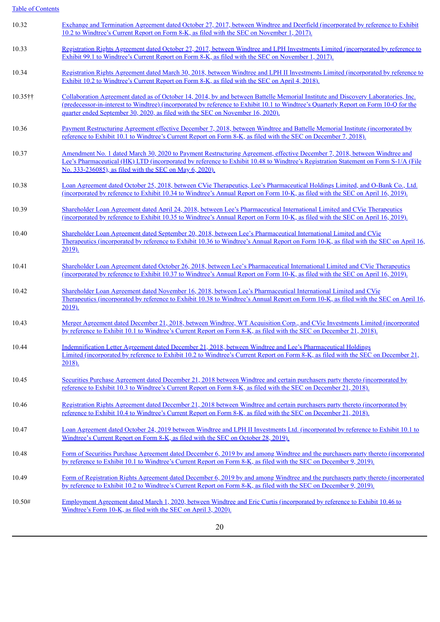| 10.32      | Exchange and Termination Agreement dated October 27, 2017, between Windtree and Deerfield (incorporated by reference to Exhibit<br>10.2 to Windtree's Current Report on Form 8-K, as filed with the SEC on November 1, 2017).                                                                                                                               |
|------------|-------------------------------------------------------------------------------------------------------------------------------------------------------------------------------------------------------------------------------------------------------------------------------------------------------------------------------------------------------------|
| 10.33      | Registration Rights Agreement dated October 27, 2017, between Windtree and LPH Investments Limited (incorporated by reference to<br>Exhibit 99.1 to Windtree's Current Report on Form 8-K, as filed with the SEC on November 1, 2017).                                                                                                                      |
| 10.34      | Registration Rights Agreement dated March 30, 2018, between Windtree and LPH II Investments Limited (incorporated by reference to<br>Exhibit 10.2 to Windtree's Current Report on Form 8-K, as filed with the SEC on April 4, 2018).                                                                                                                        |
| $10.35$ †† | Collaboration Agreement dated as of October 14, 2014, by and between Battelle Memorial Institute and Discovery Laboratories, Inc.<br>(predecessor-in-interest to Windtree) (incorporated by reference to Exhibit 10.1 to Windtree's Quarterly Report on Form 10-Q for the<br>quarter ended September 30, 2020, as filed with the SEC on November 16, 2020). |
| 10.36      | Payment Restructuring Agreement effective December 7, 2018, between Windtree and Battelle Memorial Institute (incorporated by<br>reference to Exhibit 10.1 to Windtree's Current Report on Form 8-K, as filed with the SEC on December 7, 2018).                                                                                                            |
| 10.37      | Amendment No. 1 dated March 30, 2020 to Payment Restructuring Agreement, effective December 7, 2018, between Windtree and<br>Lee's Pharmaceutical (HK) LTD (incorporated by reference to Exhibit 10.48 to Windtree's Registration Statement on Form S-1/A (File<br>No. 333-236085), as filed with the SEC on May 6, 2020).                                  |
| 10.38      | Loan Agreement dated October 25, 2018, between CVie Therapeutics, Lee's Pharmaceutical Holdings Limited, and O-Bank Co., Ltd.<br>(incorporated by reference to Exhibit 10.34 to Windtree's Annual Report on Form 10-K, as filed with the SEC on April 16, 2019).                                                                                            |
| 10.39      | Shareholder Loan Agreement dated April 24, 2018, between Lee's Pharmaceutical International Limited and CVie Therapeutics<br>(incorporated by reference to Exhibit 10.35 to Windtree's Annual Report on Form 10-K, as filed with the SEC on April 16, 2019).                                                                                                |
| 10.40      | Shareholder Loan Agreement dated September 20, 2018, between Lee's Pharmaceutical International Limited and CVie<br>Therapeutics (incorporated by reference to Exhibit 10.36 to Windtree's Annual Report on Form 10-K, as filed with the SEC on April 16,<br>$2019$ ).                                                                                      |
| 10.41      | Shareholder Loan Agreement dated October 26, 2018, between Lee's Pharmaceutical International Limited and CVie Therapeutics<br>(incorporated by reference to Exhibit 10.37 to Windtree's Annual Report on Form 10-K, as filed with the SEC on April 16, 2019).                                                                                              |
| 10.42      | Shareholder Loan Agreement dated November 16, 2018, between Lee's Pharmaceutical International Limited and CVie<br>Therapeutics (incorporated by reference to Exhibit 10.38 to Windtree's Annual Report on Form 10-K, as filed with the SEC on April 16.<br>2019).                                                                                          |
| 10.43      | Merger Agreement dated December 21, 2018, between Windtree, WT Acquisition Corp., and CVie Investments Limited (incorporated<br>by reference to Exhibit 10.1 to Windtree's Current Report on Form 8-K, as filed with the SEC on December 21, 2018).                                                                                                         |
| 10.44      | Indemnification Letter Agreement dated December 21, 2018, between Windtree and Lee's Pharmaceutical Holdings<br>Limited (incorporated by reference to Exhibit 10.2 to Windtree's Current Report on Form 8-K, as filed with the SEC on December 21,<br>2018).                                                                                                |
| 10.45      | Securities Purchase Agreement dated December 21, 2018 between Windtree and certain purchasers party thereto (incorporated by<br>reference to Exhibit 10.3 to Windtree's Current Report on Form 8-K, as filed with the SEC on December 21, 2018).                                                                                                            |
| 10.46      | Registration Rights Agreement dated December 21, 2018 between Windtree and certain purchasers party thereto (incorporated by<br>reference to Exhibit 10.4 to Windtree's Current Report on Form 8-K, as filed with the SEC on December 21, 2018).                                                                                                            |
| 10.47      | Loan Agreement dated October 24, 2019 between Windtree and LPH II Investments Ltd. (incorporated by reference to Exhibit 10.1 to<br>Windtree's Current Report on Form 8-K, as filed with the SEC on October 28, 2019).                                                                                                                                      |
| 10.48      | Form of Securities Purchase Agreement dated December 6, 2019 by and among Windtree and the purchasers party thereto (incorporated<br>by reference to Exhibit 10.1 to Windtree's Current Report on Form 8-K, as filed with the SEC on December 9, 2019).                                                                                                     |
| 10.49      | Form of Registration Rights Agreement dated December 6, 2019 by and among Windtree and the purchasers party thereto (incorporated<br>by reference to Exhibit 10.2 to Windtree's Current Report on Form 8-K, as filed with the SEC on December 9, 2019).                                                                                                     |
| 10.50#     | Employment Agreement dated March 1, 2020, between Windtree and Eric Curtis (incorporated by reference to Exhibit 10.46 to<br>Windtree's Form 10-K, as filed with the SEC on April 3, 2020).                                                                                                                                                                 |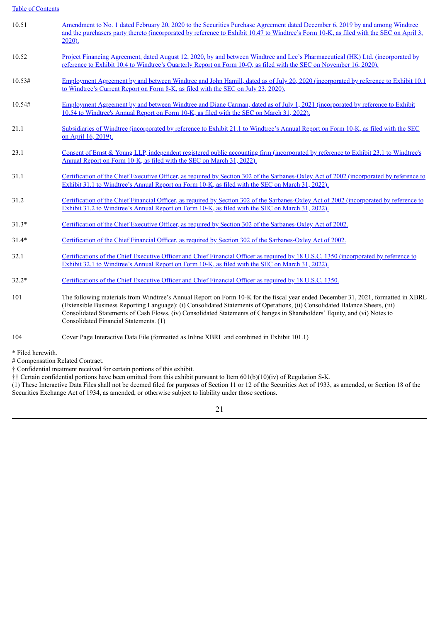| 10.51                                                 | Amendment to No. 1 dated February 20, 2020 to the Securities Purchase Agreement dated December 6, 2019 by and among Windtree<br>and the purchasers party thereto (incorporated by reference to Exhibit 10.47 to Windtree's Form 10-K, as filed with the SEC on April 3,<br>2020).                                                                                                                                                        |
|-------------------------------------------------------|------------------------------------------------------------------------------------------------------------------------------------------------------------------------------------------------------------------------------------------------------------------------------------------------------------------------------------------------------------------------------------------------------------------------------------------|
| 10.52                                                 | Project Financing Agreement, dated August 12, 2020, by and between Windtree and Lee's Pharmaceutical (HK) Ltd. (incorporated by<br>reference to Exhibit 10.4 to Windtree's Quarterly Report on Form 10-Q, as filed with the SEC on November 16, 2020).                                                                                                                                                                                   |
| 10.53#                                                | Employment Agreement by and between Windtree and John Hamill, dated as of July 20, 2020 (incorporated by reference to Exhibit 10.1)<br>to Windtree's Current Report on Form 8-K, as filed with the SEC on July 23, 2020).                                                                                                                                                                                                                |
| 10.54#                                                | Employment Agreement by and between Windtree and Diane Carman, dated as of July 1, 2021 (incorporated by reference to Exhibit<br>10.54 to Windtree's Annual Report on Form 10-K, as filed with the SEC on March 31, 2022).                                                                                                                                                                                                               |
| 21.1                                                  | Subsidiaries of Windtree (incorporated by reference to Exhibit 21.1 to Windtree's Annual Report on Form 10-K, as filed with the SEC<br>on April 16, 2019).                                                                                                                                                                                                                                                                               |
| 23.1                                                  | Consent of Ernst & Young LLP, independent registered public accounting firm (incorporated by reference to Exhibit 23.1 to Windtree's<br>Annual Report on Form 10-K, as filed with the SEC on March 31, 2022).                                                                                                                                                                                                                            |
| 31.1                                                  | Certification of the Chief Executive Officer, as required by Section 302 of the Sarbanes-Oxley Act of 2002 (incorporated by reference to<br>Exhibit 31.1 to Windtree's Annual Report on Form 10-K, as filed with the SEC on March 31, 2022).                                                                                                                                                                                             |
| 31.2                                                  | Certification of the Chief Financial Officer, as required by Section 302 of the Sarbanes-Oxley Act of 2002 (incorporated by reference to<br>Exhibit 31.2 to Windtree's Annual Report on Form 10-K, as filed with the SEC on March 31, 2022).                                                                                                                                                                                             |
| $31.3*$                                               | Certification of the Chief Executive Officer, as required by Section 302 of the Sarbanes-Oxley Act of 2002.                                                                                                                                                                                                                                                                                                                              |
| $31.4*$                                               | Certification of the Chief Financial Officer, as required by Section 302 of the Sarbanes-Oxley Act of 2002.                                                                                                                                                                                                                                                                                                                              |
| 32.1                                                  | Certifications of the Chief Executive Officer and Chief Financial Officer as required by 18 U.S.C. 1350 (incorporated by reference to<br>Exhibit 32.1 to Windtree's Annual Report on Form 10-K, as filed with the SEC on March 31, 2022).                                                                                                                                                                                                |
| $32.2*$                                               | Certifications of the Chief Executive Officer and Chief Financial Officer as required by 18 U.S.C. 1350.                                                                                                                                                                                                                                                                                                                                 |
| 101                                                   | The following materials from Windtree's Annual Report on Form 10-K for the fiscal year ended December 31, 2021, formatted in XBRL<br>(Extensible Business Reporting Language): (i) Consolidated Statements of Operations, (ii) Consolidated Balance Sheets, (iii)<br>Consolidated Statements of Cash Flows, (iv) Consolidated Statements of Changes in Shareholders' Equity, and (vi) Notes to<br>Consolidated Financial Statements. (1) |
| 104                                                   | Cover Page Interactive Data File (formatted as Inline XBRL and combined in Exhibit 101.1)                                                                                                                                                                                                                                                                                                                                                |
| * Filed herewith.<br># Compensation Related Contract. |                                                                                                                                                                                                                                                                                                                                                                                                                                          |

† Confidential treatment received for certain portions of this exhibit.

†† Certain confidential portions have been omitted from this exhibit pursuant to Item 601(b)(10)(iv) of Regulation S-K.

(1) These Interactive Data Files shall not be deemed filed for purposes of Section 11 or 12 of the Securities Act of 1933, as amended, or Section 18 of the Securities Exchange Act of 1934, as amended, or otherwise subject to liability under those sections.

21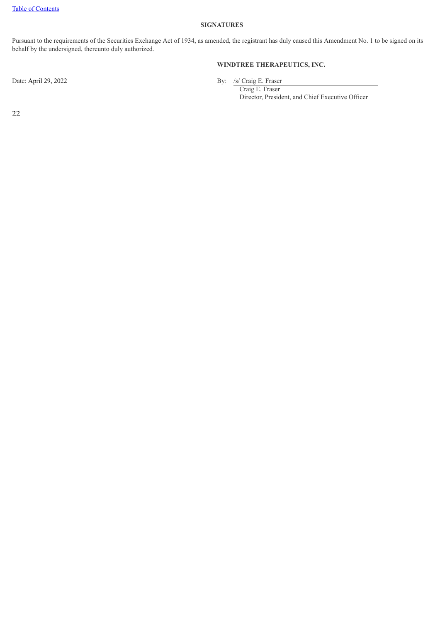#### **SIGNATURES**

Pursuant to the requirements of the Securities Exchange Act of 1934, as amended, the registrant has duly caused this Amendment No. 1 to be signed on its behalf by the undersigned, thereunto duly authorized.

## **WINDTREE THERAPEUTICS, INC.**

Date: April 29, 2022 By: /s/ Craig E. Fraser

Craig E. Fraser Director, President, and Chief Executive Officer

22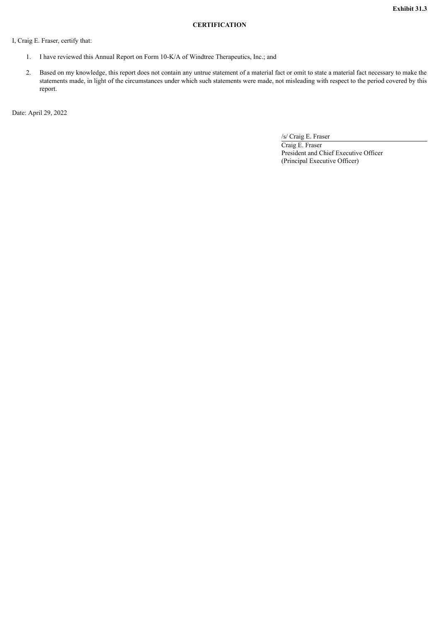#### **CERTIFICATION**

<span id="page-25-0"></span>I, Craig E. Fraser, certify that:

- 1. I have reviewed this Annual Report on Form 10-K/A of Windtree Therapeutics, Inc.; and
- 2. Based on my knowledge, this report does not contain any untrue statement of a material fact or omit to state a material fact necessary to make the statements made, in light of the circumstances under which such statements were made, not misleading with respect to the period covered by this report.

Date: April 29, 2022

/s/ Craig E. Fraser Craig E. Fraser President and Chief Executive Officer (Principal Executive Officer)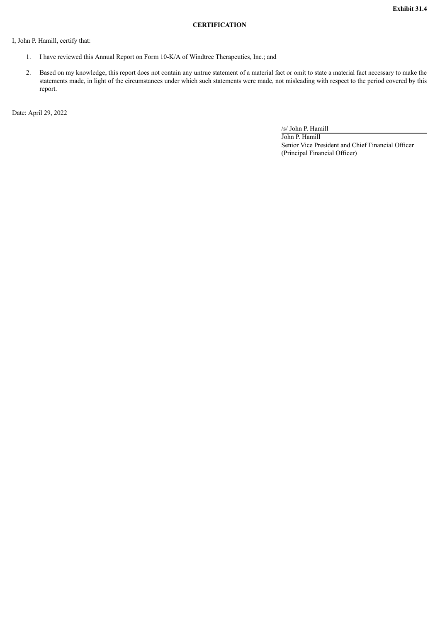#### **CERTIFICATION**

<span id="page-26-0"></span>I, John P. Hamill, certify that:

- 1. I have reviewed this Annual Report on Form 10-K/A of Windtree Therapeutics, Inc.; and
- 2. Based on my knowledge, this report does not contain any untrue statement of a material fact or omit to state a material fact necessary to make the statements made, in light of the circumstances under which such statements were made, not misleading with respect to the period covered by this report.

Date: April 29, 2022

/s/ John P. Hamill

John P. Hamill Senior Vice President and Chief Financial Officer (Principal Financial Officer)